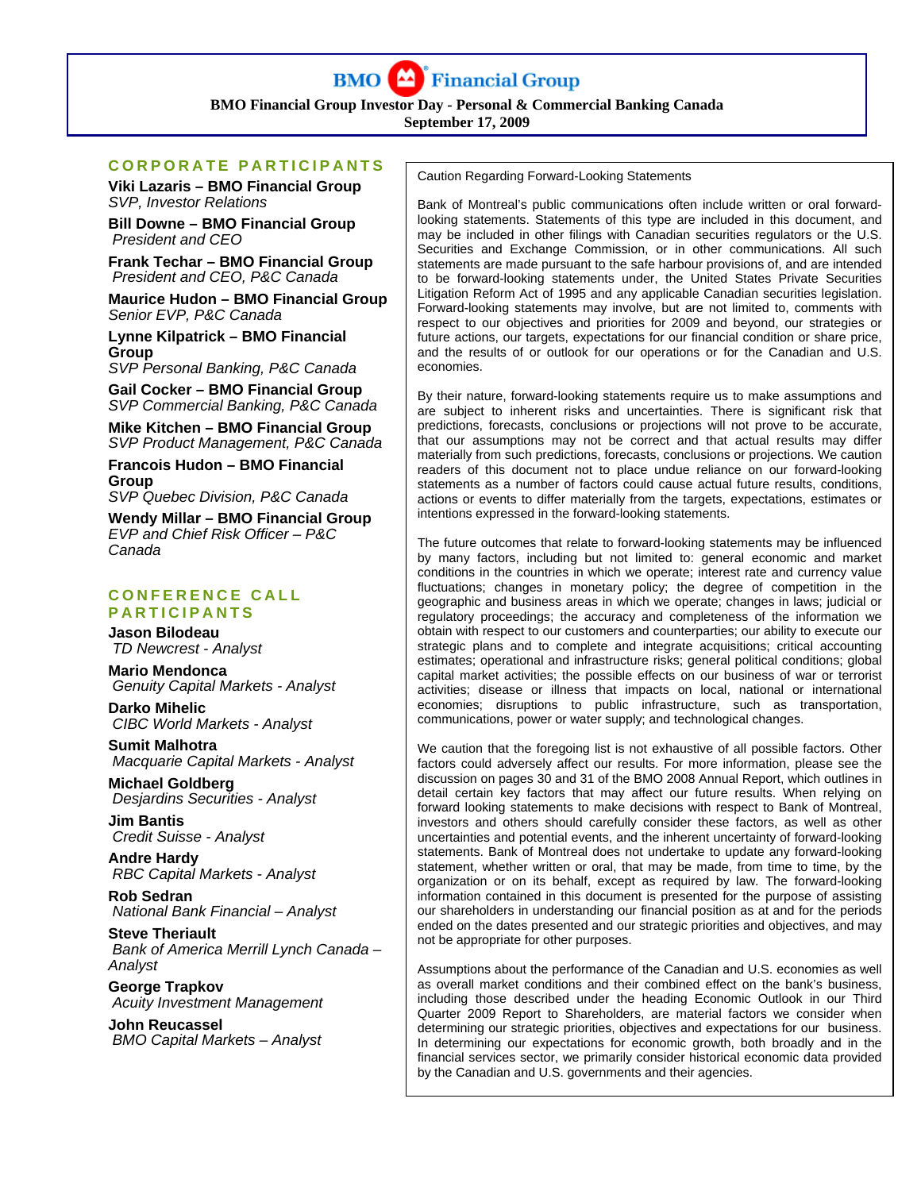

**BMO Financial Group Investor Day - Personal & Commercial Banking Canada** 

**September 17, 2009**

# **CORPORATE PARTICIPANTS**

**Viki Lazaris – BMO Financial Group**  *SVP, Investor Relations* 

**Bill Downe – BMO Financial Group**   *President and CEO* 

**Frank Techar – BMO Financial Group**   *President and CEO, P&C Canada* 

**Maurice Hudon – BMO Financial Group**  *Senior EVP, P&C Canada* 

**Lynne Kilpatrick – BMO Financial Group** 

*SVP Personal Banking, P&C Canada* 

**Gail Cocker – BMO Financial Group**  *SVP Commercial Banking, P&C Canada* 

**Mike Kitchen – BMO Financial Group** 

*SVP Product Management, P&C Canada*  **Francois Hudon – BMO Financial Group** 

*SVP Quebec Division, P&C Canada* 

**Wendy Millar – BMO Financial Group**  *EVP and Chief Risk Officer – P&C Canada* 

## **CONFERENCE CALL PARTICIPANTS**

**Jason Bilodeau**   *TD Newcrest - Analyst* 

**Mario Mendonca**   *Genuity Capital Markets - Analyst* 

**Darko Mihelic**   *CIBC World Markets - Analyst* 

**Sumit Malhotra**   *Macquarie Capital Markets - Analyst* 

**Michael Goldberg**   *Desjardins Securities - Analyst* 

**Jim Bantis**   *Credit Suisse - Analyst* 

**Andre Hardy**   *RBC Capital Markets - Analyst* 

**Rob Sedran**   *National Bank Financial – Analyst* 

**Steve Theriault**   *Bank of America Merrill Lynch Canada – Analyst* 

**George Trapkov**   *Acuity Investment Management* 

**John Reucassel**   *BMO Capital Markets – Analyst*  Caution Regarding Forward-Looking Statements

Bank of Montreal's public communications often include written or oral forwardlooking statements. Statements of this type are included in this document, and may be included in other filings with Canadian securities regulators or the U.S. Securities and Exchange Commission, or in other communications. All such statements are made pursuant to the safe harbour provisions of, and are intended to be forward-looking statements under, the United States Private Securities Litigation Reform Act of 1995 and any applicable Canadian securities legislation. Forward-looking statements may involve, but are not limited to, comments with respect to our objectives and priorities for 2009 and beyond, our strategies or future actions, our targets, expectations for our financial condition or share price, and the results of or outlook for our operations or for the Canadian and U.S. economies.

By their nature, forward-looking statements require us to make assumptions and are subject to inherent risks and uncertainties. There is significant risk that predictions, forecasts, conclusions or projections will not prove to be accurate, that our assumptions may not be correct and that actual results may differ materially from such predictions, forecasts, conclusions or projections. We caution readers of this document not to place undue reliance on our forward-looking statements as a number of factors could cause actual future results, conditions, actions or events to differ materially from the targets, expectations, estimates or intentions expressed in the forward-looking statements.

The future outcomes that relate to forward-looking statements may be influenced by many factors, including but not limited to: general economic and market conditions in the countries in which we operate; interest rate and currency value fluctuations; changes in monetary policy; the degree of competition in the geographic and business areas in which we operate; changes in laws; judicial or regulatory proceedings; the accuracy and completeness of the information we obtain with respect to our customers and counterparties; our ability to execute our strategic plans and to complete and integrate acquisitions; critical accounting estimates; operational and infrastructure risks; general political conditions; global capital market activities; the possible effects on our business of war or terrorist activities; disease or illness that impacts on local, national or international economies; disruptions to public infrastructure, such as transportation, communications, power or water supply; and technological changes.

We caution that the foregoing list is not exhaustive of all possible factors. Other factors could adversely affect our results. For more information, please see the discussion on pages 30 and 31 of the BMO 2008 Annual Report, which outlines in detail certain key factors that may affect our future results. When relying on forward looking statements to make decisions with respect to Bank of Montreal, investors and others should carefully consider these factors, as well as other uncertainties and potential events, and the inherent uncertainty of forward-looking statements. Bank of Montreal does not undertake to update any forward-looking statement, whether written or oral, that may be made, from time to time, by the organization or on its behalf, except as required by law. The forward-looking information contained in this document is presented for the purpose of assisting our shareholders in understanding our financial position as at and for the periods ended on the dates presented and our strategic priorities and objectives, and may not be appropriate for other purposes.

Assumptions about the performance of the Canadian and U.S. economies as well as overall market conditions and their combined effect on the bank's business, including those described under the heading Economic Outlook in our Third Quarter 2009 Report to Shareholders, are material factors we consider when determining our strategic priorities, objectives and expectations for our business. In determining our expectations for economic growth, both broadly and in the financial services sector, we primarily consider historical economic data provided by the Canadian and U.S. governments and their agencies.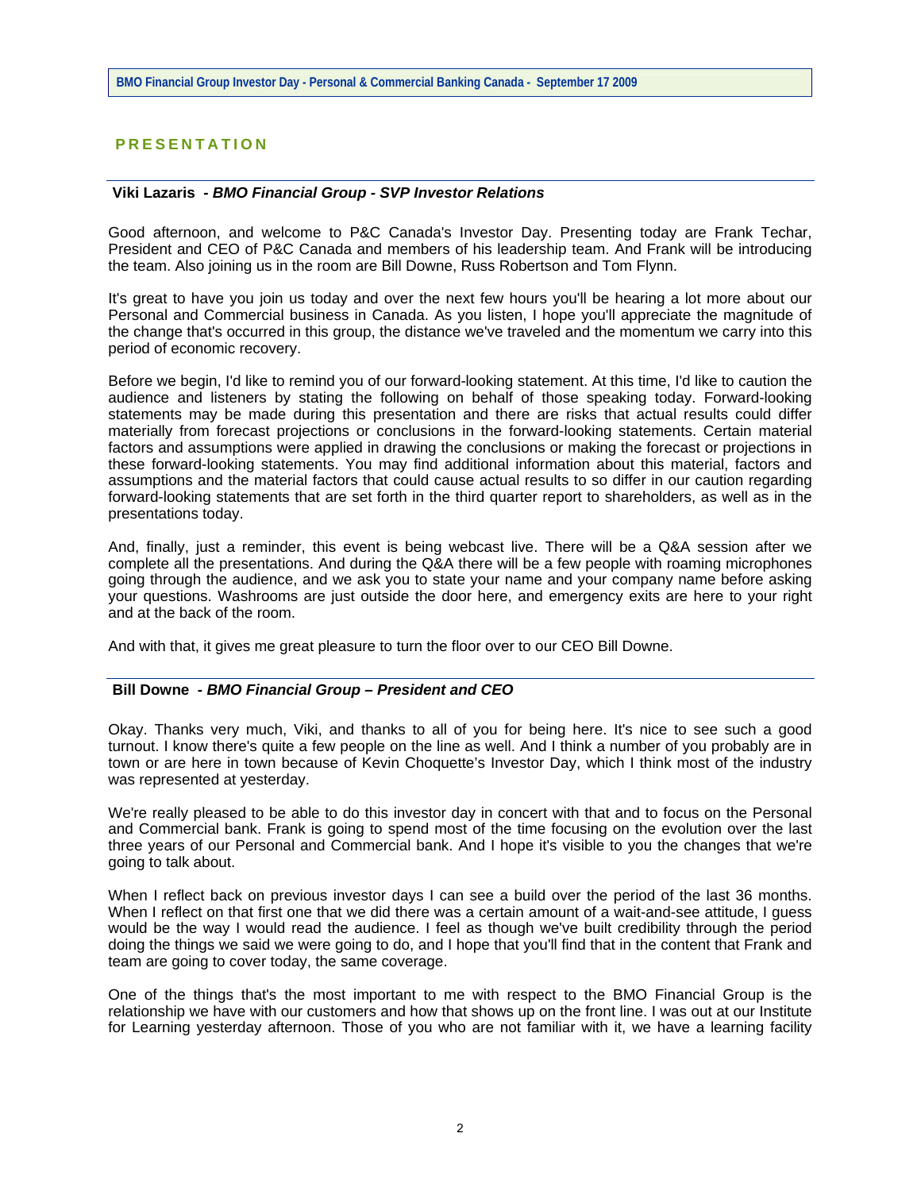# **PRESENTATION**

#### **Viki Lazaris** *- BMO Financial Group - SVP Investor Relations*

Good afternoon, and welcome to P&C Canada's Investor Day. Presenting today are Frank Techar, President and CEO of P&C Canada and members of his leadership team. And Frank will be introducing the team. Also joining us in the room are Bill Downe, Russ Robertson and Tom Flynn.

It's great to have you join us today and over the next few hours you'll be hearing a lot more about our Personal and Commercial business in Canada. As you listen, I hope you'll appreciate the magnitude of the change that's occurred in this group, the distance we've traveled and the momentum we carry into this period of economic recovery.

Before we begin, I'd like to remind you of our forward-looking statement. At this time, I'd like to caution the audience and listeners by stating the following on behalf of those speaking today. Forward-looking statements may be made during this presentation and there are risks that actual results could differ materially from forecast projections or conclusions in the forward-looking statements. Certain material factors and assumptions were applied in drawing the conclusions or making the forecast or projections in these forward-looking statements. You may find additional information about this material, factors and assumptions and the material factors that could cause actual results to so differ in our caution regarding forward-looking statements that are set forth in the third quarter report to shareholders, as well as in the presentations today.

And, finally, just a reminder, this event is being webcast live. There will be a Q&A session after we complete all the presentations. And during the Q&A there will be a few people with roaming microphones going through the audience, and we ask you to state your name and your company name before asking your questions. Washrooms are just outside the door here, and emergency exits are here to your right and at the back of the room.

And with that, it gives me great pleasure to turn the floor over to our CEO Bill Downe.

#### **Bill Downe** *- BMO Financial Group – President and CEO*

Okay. Thanks very much, Viki, and thanks to all of you for being here. It's nice to see such a good turnout. I know there's quite a few people on the line as well. And I think a number of you probably are in town or are here in town because of Kevin Choquette's Investor Day, which I think most of the industry was represented at yesterday.

We're really pleased to be able to do this investor day in concert with that and to focus on the Personal and Commercial bank. Frank is going to spend most of the time focusing on the evolution over the last three years of our Personal and Commercial bank. And I hope it's visible to you the changes that we're going to talk about.

When I reflect back on previous investor days I can see a build over the period of the last 36 months. When I reflect on that first one that we did there was a certain amount of a wait-and-see attitude, I guess would be the way I would read the audience. I feel as though we've built credibility through the period doing the things we said we were going to do, and I hope that you'll find that in the content that Frank and team are going to cover today, the same coverage.

One of the things that's the most important to me with respect to the BMO Financial Group is the relationship we have with our customers and how that shows up on the front line. I was out at our Institute for Learning yesterday afternoon. Those of you who are not familiar with it, we have a learning facility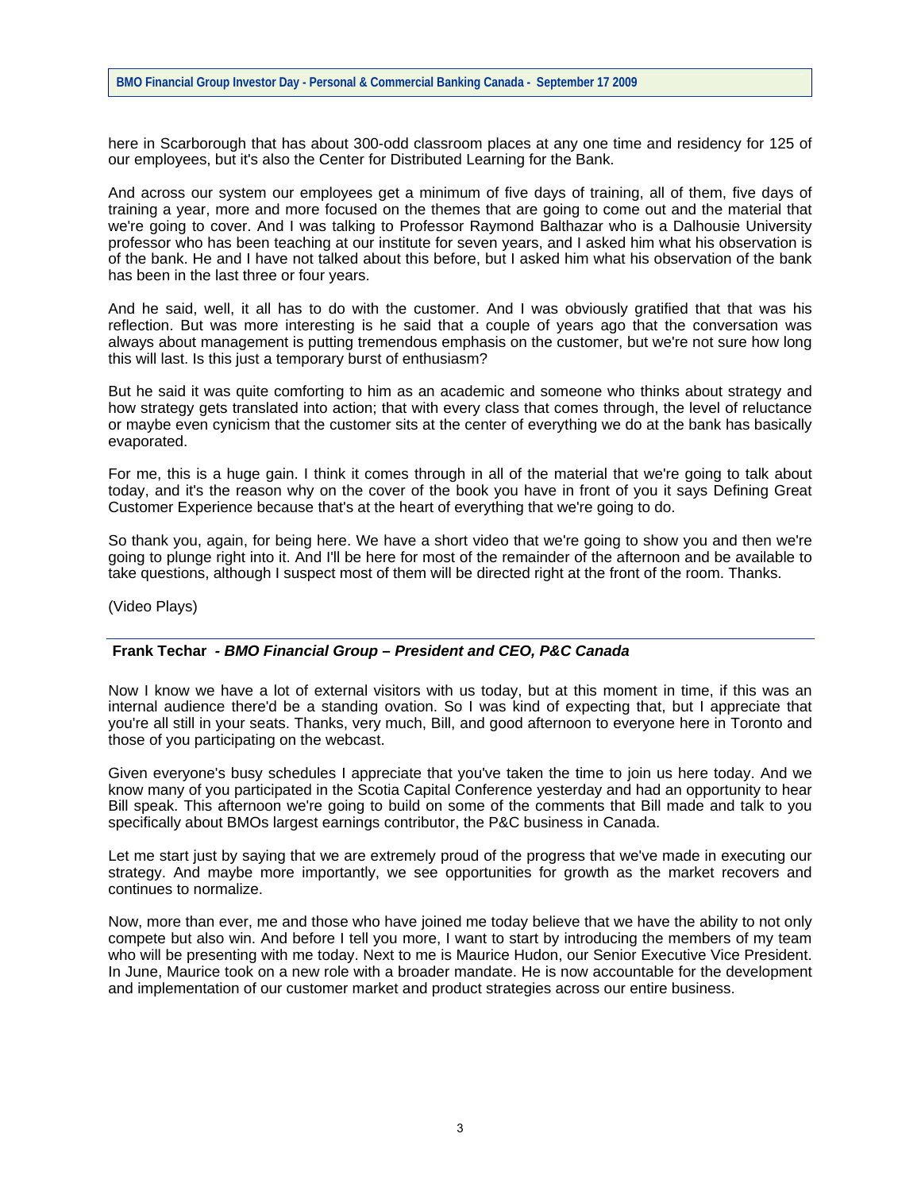here in Scarborough that has about 300-odd classroom places at any one time and residency for 125 of our employees, but it's also the Center for Distributed Learning for the Bank.

And across our system our employees get a minimum of five days of training, all of them, five days of training a year, more and more focused on the themes that are going to come out and the material that we're going to cover. And I was talking to Professor Raymond Balthazar who is a Dalhousie University professor who has been teaching at our institute for seven years, and I asked him what his observation is of the bank. He and I have not talked about this before, but I asked him what his observation of the bank has been in the last three or four years.

And he said, well, it all has to do with the customer. And I was obviously gratified that that was his reflection. But was more interesting is he said that a couple of years ago that the conversation was always about management is putting tremendous emphasis on the customer, but we're not sure how long this will last. Is this just a temporary burst of enthusiasm?

But he said it was quite comforting to him as an academic and someone who thinks about strategy and how strategy gets translated into action; that with every class that comes through, the level of reluctance or maybe even cynicism that the customer sits at the center of everything we do at the bank has basically evaporated.

For me, this is a huge gain. I think it comes through in all of the material that we're going to talk about today, and it's the reason why on the cover of the book you have in front of you it says Defining Great Customer Experience because that's at the heart of everything that we're going to do.

So thank you, again, for being here. We have a short video that we're going to show you and then we're going to plunge right into it. And I'll be here for most of the remainder of the afternoon and be available to take questions, although I suspect most of them will be directed right at the front of the room. Thanks.

(Video Plays)

## **Frank Techar** *- BMO Financial Group – President and CEO, P&C Canada*

Now I know we have a lot of external visitors with us today, but at this moment in time, if this was an internal audience there'd be a standing ovation. So I was kind of expecting that, but I appreciate that you're all still in your seats. Thanks, very much, Bill, and good afternoon to everyone here in Toronto and those of you participating on the webcast.

Given everyone's busy schedules I appreciate that you've taken the time to join us here today. And we know many of you participated in the Scotia Capital Conference yesterday and had an opportunity to hear Bill speak. This afternoon we're going to build on some of the comments that Bill made and talk to you specifically about BMOs largest earnings contributor, the P&C business in Canada.

Let me start just by saying that we are extremely proud of the progress that we've made in executing our strategy. And maybe more importantly, we see opportunities for growth as the market recovers and continues to normalize.

Now, more than ever, me and those who have joined me today believe that we have the ability to not only compete but also win. And before I tell you more, I want to start by introducing the members of my team who will be presenting with me today. Next to me is Maurice Hudon, our Senior Executive Vice President. In June, Maurice took on a new role with a broader mandate. He is now accountable for the development and implementation of our customer market and product strategies across our entire business.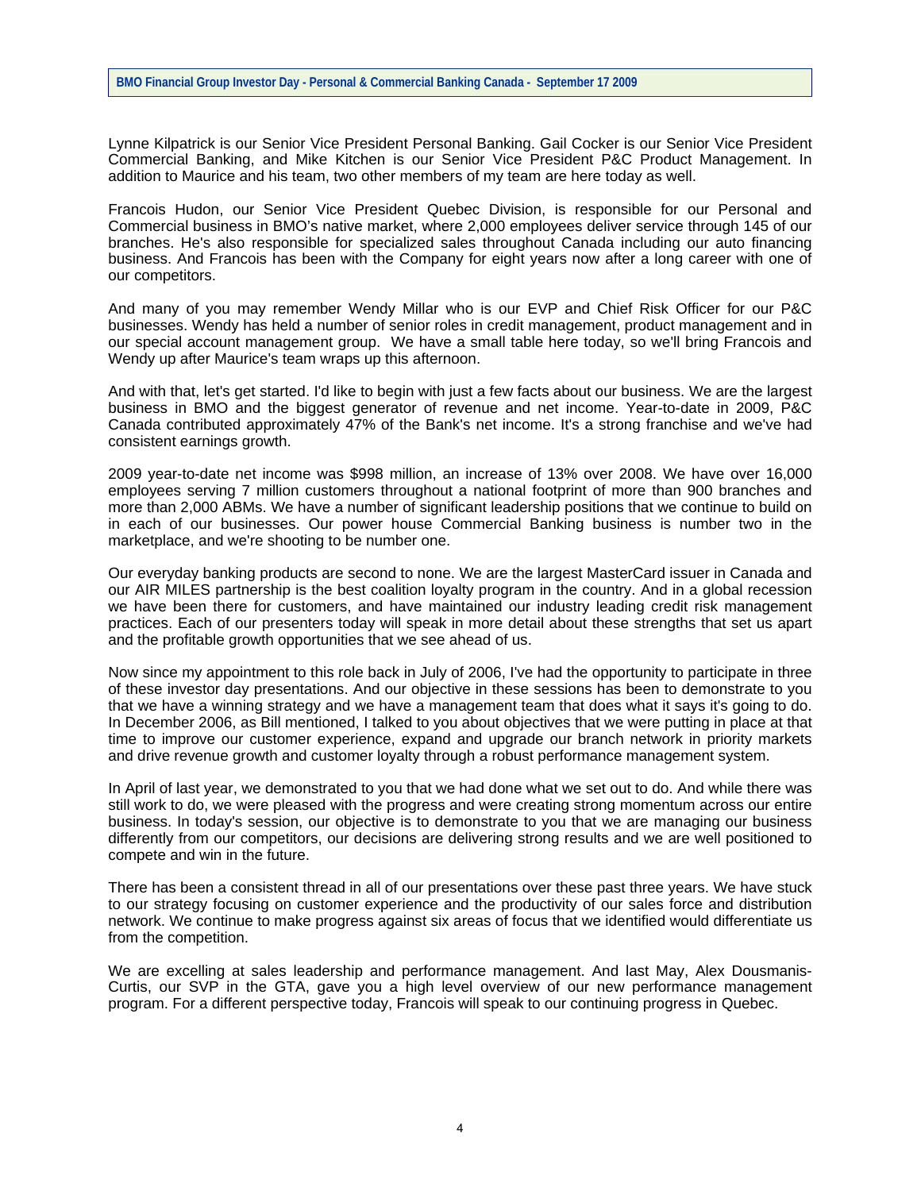Lynne Kilpatrick is our Senior Vice President Personal Banking. Gail Cocker is our Senior Vice President Commercial Banking, and Mike Kitchen is our Senior Vice President P&C Product Management. In addition to Maurice and his team, two other members of my team are here today as well.

Francois Hudon, our Senior Vice President Quebec Division, is responsible for our Personal and Commercial business in BMO's native market, where 2,000 employees deliver service through 145 of our branches. He's also responsible for specialized sales throughout Canada including our auto financing business. And Francois has been with the Company for eight years now after a long career with one of our competitors.

And many of you may remember Wendy Millar who is our EVP and Chief Risk Officer for our P&C businesses. Wendy has held a number of senior roles in credit management, product management and in our special account management group. We have a small table here today, so we'll bring Francois and Wendy up after Maurice's team wraps up this afternoon.

And with that, let's get started. I'd like to begin with just a few facts about our business. We are the largest business in BMO and the biggest generator of revenue and net income. Year-to-date in 2009, P&C Canada contributed approximately 47% of the Bank's net income. It's a strong franchise and we've had consistent earnings growth.

2009 year-to-date net income was \$998 million, an increase of 13% over 2008. We have over 16,000 employees serving 7 million customers throughout a national footprint of more than 900 branches and more than 2,000 ABMs. We have a number of significant leadership positions that we continue to build on in each of our businesses. Our power house Commercial Banking business is number two in the marketplace, and we're shooting to be number one.

Our everyday banking products are second to none. We are the largest MasterCard issuer in Canada and our AIR MILES partnership is the best coalition loyalty program in the country. And in a global recession we have been there for customers, and have maintained our industry leading credit risk management practices. Each of our presenters today will speak in more detail about these strengths that set us apart and the profitable growth opportunities that we see ahead of us.

Now since my appointment to this role back in July of 2006, I've had the opportunity to participate in three of these investor day presentations. And our objective in these sessions has been to demonstrate to you that we have a winning strategy and we have a management team that does what it says it's going to do. In December 2006, as Bill mentioned, I talked to you about objectives that we were putting in place at that time to improve our customer experience, expand and upgrade our branch network in priority markets and drive revenue growth and customer loyalty through a robust performance management system.

In April of last year, we demonstrated to you that we had done what we set out to do. And while there was still work to do, we were pleased with the progress and were creating strong momentum across our entire business. In today's session, our objective is to demonstrate to you that we are managing our business differently from our competitors, our decisions are delivering strong results and we are well positioned to compete and win in the future.

There has been a consistent thread in all of our presentations over these past three years. We have stuck to our strategy focusing on customer experience and the productivity of our sales force and distribution network. We continue to make progress against six areas of focus that we identified would differentiate us from the competition.

We are excelling at sales leadership and performance management. And last May, Alex Dousmanis-Curtis, our SVP in the GTA, gave you a high level overview of our new performance management program. For a different perspective today, Francois will speak to our continuing progress in Quebec.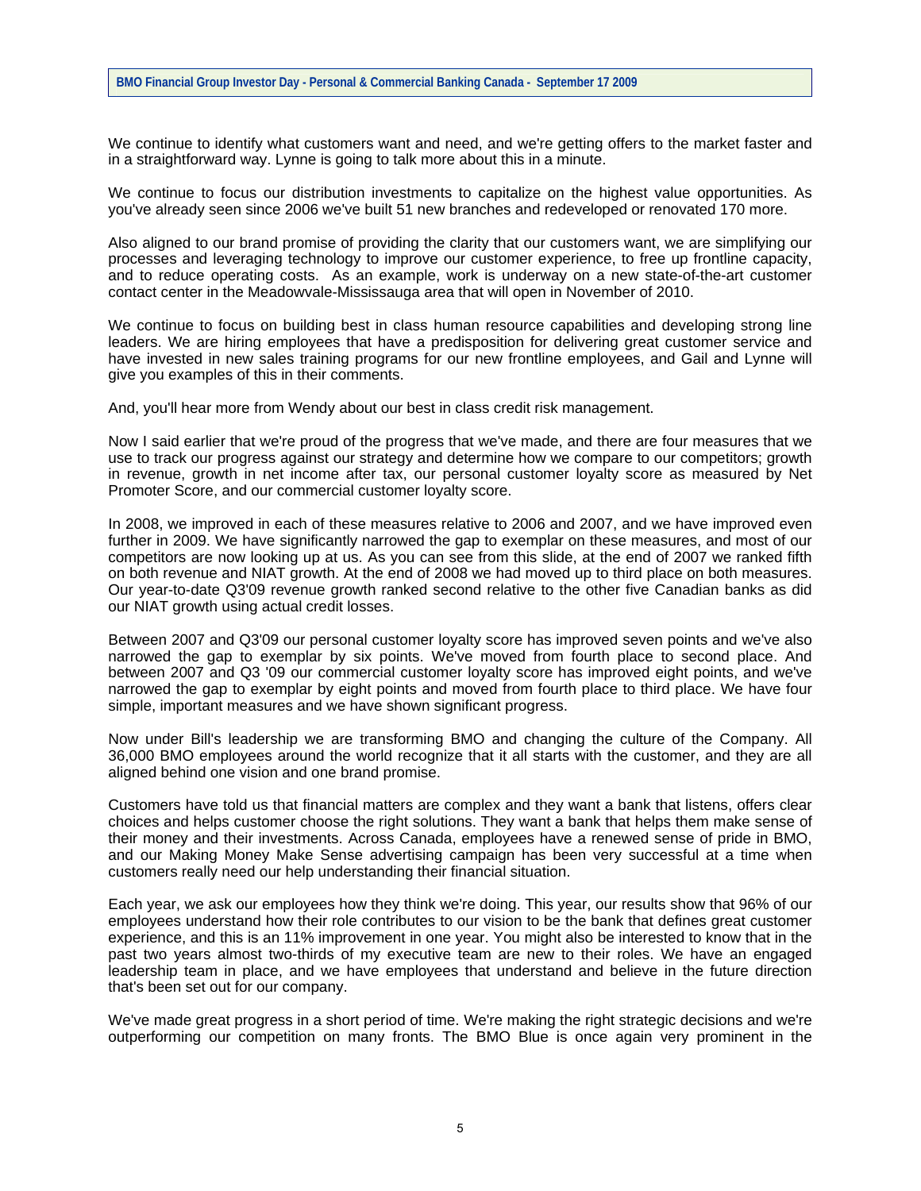We continue to identify what customers want and need, and we're getting offers to the market faster and in a straightforward way. Lynne is going to talk more about this in a minute.

We continue to focus our distribution investments to capitalize on the highest value opportunities. As you've already seen since 2006 we've built 51 new branches and redeveloped or renovated 170 more.

Also aligned to our brand promise of providing the clarity that our customers want, we are simplifying our processes and leveraging technology to improve our customer experience, to free up frontline capacity, and to reduce operating costs. As an example, work is underway on a new state-of-the-art customer contact center in the Meadowvale-Mississauga area that will open in November of 2010.

We continue to focus on building best in class human resource capabilities and developing strong line leaders. We are hiring employees that have a predisposition for delivering great customer service and have invested in new sales training programs for our new frontline employees, and Gail and Lynne will give you examples of this in their comments.

And, you'll hear more from Wendy about our best in class credit risk management.

Now I said earlier that we're proud of the progress that we've made, and there are four measures that we use to track our progress against our strategy and determine how we compare to our competitors; growth in revenue, growth in net income after tax, our personal customer loyalty score as measured by Net Promoter Score, and our commercial customer loyalty score.

In 2008, we improved in each of these measures relative to 2006 and 2007, and we have improved even further in 2009. We have significantly narrowed the gap to exemplar on these measures, and most of our competitors are now looking up at us. As you can see from this slide, at the end of 2007 we ranked fifth on both revenue and NIAT growth. At the end of 2008 we had moved up to third place on both measures. Our year-to-date Q3'09 revenue growth ranked second relative to the other five Canadian banks as did our NIAT growth using actual credit losses.

Between 2007 and Q3'09 our personal customer loyalty score has improved seven points and we've also narrowed the gap to exemplar by six points. We've moved from fourth place to second place. And between 2007 and Q3 '09 our commercial customer loyalty score has improved eight points, and we've narrowed the gap to exemplar by eight points and moved from fourth place to third place. We have four simple, important measures and we have shown significant progress.

Now under Bill's leadership we are transforming BMO and changing the culture of the Company. All 36,000 BMO employees around the world recognize that it all starts with the customer, and they are all aligned behind one vision and one brand promise.

Customers have told us that financial matters are complex and they want a bank that listens, offers clear choices and helps customer choose the right solutions. They want a bank that helps them make sense of their money and their investments. Across Canada, employees have a renewed sense of pride in BMO, and our Making Money Make Sense advertising campaign has been very successful at a time when customers really need our help understanding their financial situation.

Each year, we ask our employees how they think we're doing. This year, our results show that 96% of our employees understand how their role contributes to our vision to be the bank that defines great customer experience, and this is an 11% improvement in one year. You might also be interested to know that in the past two years almost two-thirds of my executive team are new to their roles. We have an engaged leadership team in place, and we have employees that understand and believe in the future direction that's been set out for our company.

We've made great progress in a short period of time. We're making the right strategic decisions and we're outperforming our competition on many fronts. The BMO Blue is once again very prominent in the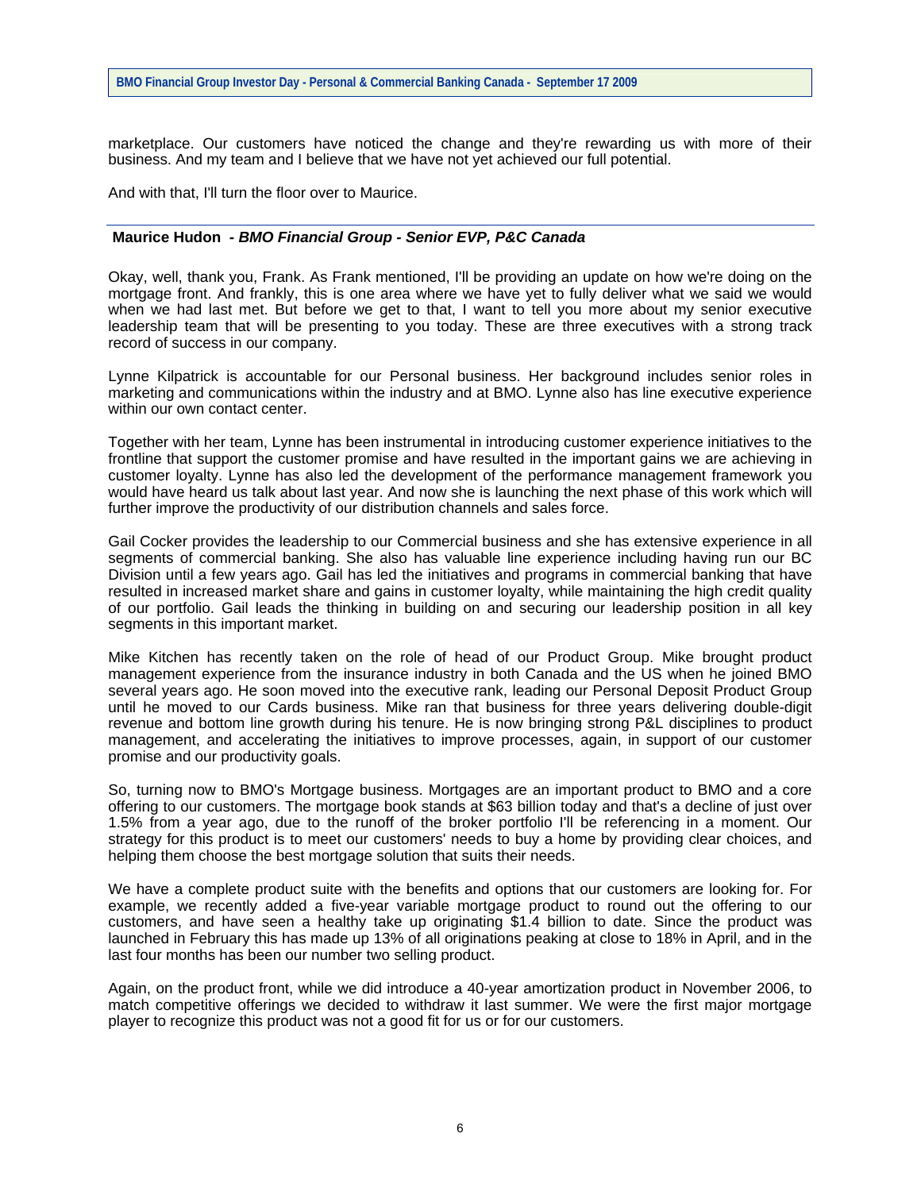marketplace. Our customers have noticed the change and they're rewarding us with more of their business. And my team and I believe that we have not yet achieved our full potential.

And with that, I'll turn the floor over to Maurice.

#### **Maurice Hudon** *- BMO Financial Group - Senior EVP, P&C Canada*

Okay, well, thank you, Frank. As Frank mentioned, I'll be providing an update on how we're doing on the mortgage front. And frankly, this is one area where we have yet to fully deliver what we said we would when we had last met. But before we get to that, I want to tell you more about my senior executive leadership team that will be presenting to you today. These are three executives with a strong track record of success in our company.

Lynne Kilpatrick is accountable for our Personal business. Her background includes senior roles in marketing and communications within the industry and at BMO. Lynne also has line executive experience within our own contact center.

Together with her team, Lynne has been instrumental in introducing customer experience initiatives to the frontline that support the customer promise and have resulted in the important gains we are achieving in customer loyalty. Lynne has also led the development of the performance management framework you would have heard us talk about last year. And now she is launching the next phase of this work which will further improve the productivity of our distribution channels and sales force.

Gail Cocker provides the leadership to our Commercial business and she has extensive experience in all segments of commercial banking. She also has valuable line experience including having run our BC Division until a few years ago. Gail has led the initiatives and programs in commercial banking that have resulted in increased market share and gains in customer loyalty, while maintaining the high credit quality of our portfolio. Gail leads the thinking in building on and securing our leadership position in all key segments in this important market.

Mike Kitchen has recently taken on the role of head of our Product Group. Mike brought product management experience from the insurance industry in both Canada and the US when he joined BMO several years ago. He soon moved into the executive rank, leading our Personal Deposit Product Group until he moved to our Cards business. Mike ran that business for three years delivering double-digit revenue and bottom line growth during his tenure. He is now bringing strong P&L disciplines to product management, and accelerating the initiatives to improve processes, again, in support of our customer promise and our productivity goals.

So, turning now to BMO's Mortgage business. Mortgages are an important product to BMO and a core offering to our customers. The mortgage book stands at \$63 billion today and that's a decline of just over 1.5% from a year ago, due to the runoff of the broker portfolio I'll be referencing in a moment. Our strategy for this product is to meet our customers' needs to buy a home by providing clear choices, and helping them choose the best mortgage solution that suits their needs.

We have a complete product suite with the benefits and options that our customers are looking for. For example, we recently added a five-year variable mortgage product to round out the offering to our customers, and have seen a healthy take up originating \$1.4 billion to date. Since the product was launched in February this has made up 13% of all originations peaking at close to 18% in April, and in the last four months has been our number two selling product.

Again, on the product front, while we did introduce a 40-year amortization product in November 2006, to match competitive offerings we decided to withdraw it last summer. We were the first major mortgage player to recognize this product was not a good fit for us or for our customers.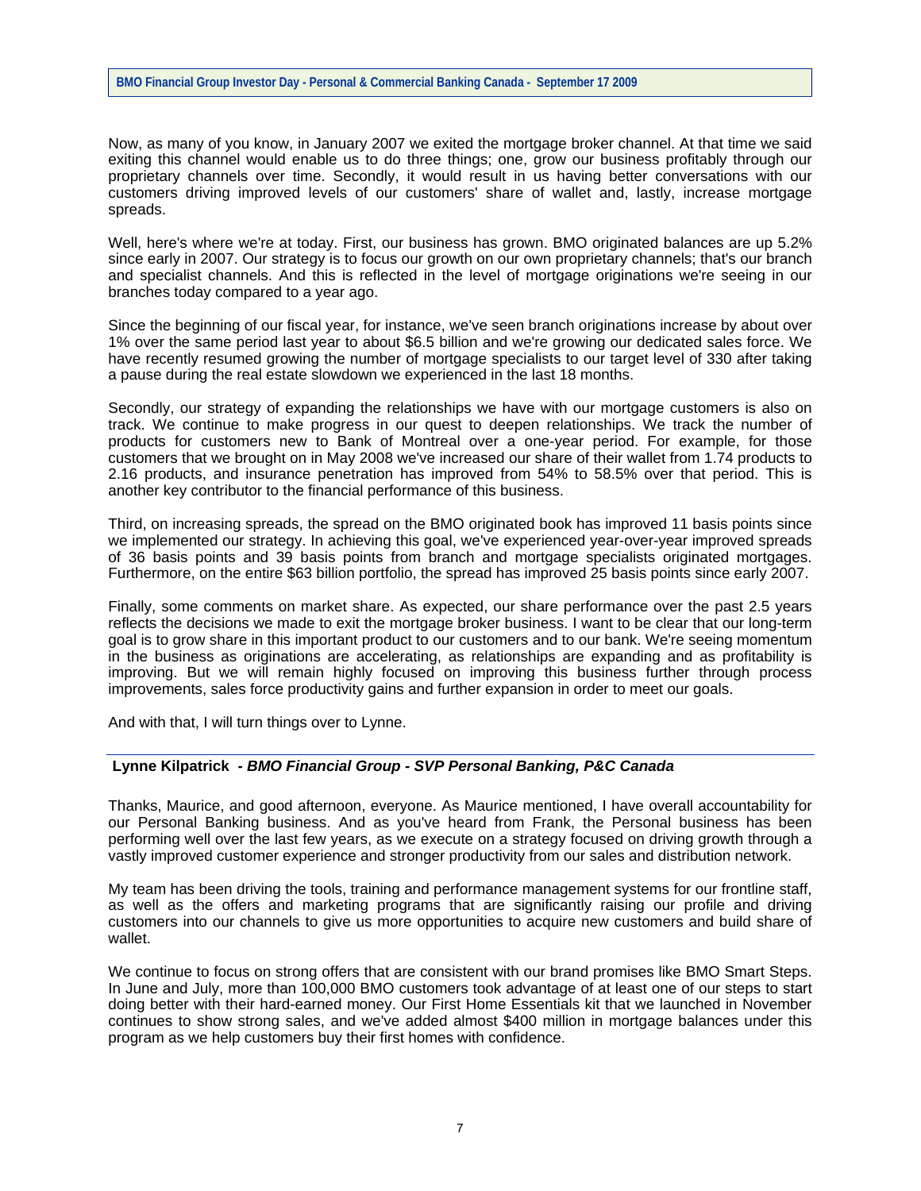Now, as many of you know, in January 2007 we exited the mortgage broker channel. At that time we said exiting this channel would enable us to do three things; one, grow our business profitably through our proprietary channels over time. Secondly, it would result in us having better conversations with our customers driving improved levels of our customers' share of wallet and, lastly, increase mortgage spreads.

Well, here's where we're at today. First, our business has grown. BMO originated balances are up 5.2% since early in 2007. Our strategy is to focus our growth on our own proprietary channels; that's our branch and specialist channels. And this is reflected in the level of mortgage originations we're seeing in our branches today compared to a year ago.

Since the beginning of our fiscal year, for instance, we've seen branch originations increase by about over 1% over the same period last year to about \$6.5 billion and we're growing our dedicated sales force. We have recently resumed growing the number of mortgage specialists to our target level of 330 after taking a pause during the real estate slowdown we experienced in the last 18 months.

Secondly, our strategy of expanding the relationships we have with our mortgage customers is also on track. We continue to make progress in our quest to deepen relationships. We track the number of products for customers new to Bank of Montreal over a one-year period. For example, for those customers that we brought on in May 2008 we've increased our share of their wallet from 1.74 products to 2.16 products, and insurance penetration has improved from 54% to 58.5% over that period. This is another key contributor to the financial performance of this business.

Third, on increasing spreads, the spread on the BMO originated book has improved 11 basis points since we implemented our strategy. In achieving this goal, we've experienced year-over-year improved spreads of 36 basis points and 39 basis points from branch and mortgage specialists originated mortgages. Furthermore, on the entire \$63 billion portfolio, the spread has improved 25 basis points since early 2007.

Finally, some comments on market share. As expected, our share performance over the past 2.5 years reflects the decisions we made to exit the mortgage broker business. I want to be clear that our long-term goal is to grow share in this important product to our customers and to our bank. We're seeing momentum in the business as originations are accelerating, as relationships are expanding and as profitability is improving. But we will remain highly focused on improving this business further through process improvements, sales force productivity gains and further expansion in order to meet our goals.

And with that, I will turn things over to Lynne.

## **Lynne Kilpatrick** *- BMO Financial Group - SVP Personal Banking, P&C Canada*

Thanks, Maurice, and good afternoon, everyone. As Maurice mentioned, I have overall accountability for our Personal Banking business. And as you've heard from Frank, the Personal business has been performing well over the last few years, as we execute on a strategy focused on driving growth through a vastly improved customer experience and stronger productivity from our sales and distribution network.

My team has been driving the tools, training and performance management systems for our frontline staff, as well as the offers and marketing programs that are significantly raising our profile and driving customers into our channels to give us more opportunities to acquire new customers and build share of wallet.

We continue to focus on strong offers that are consistent with our brand promises like BMO Smart Steps. In June and July, more than 100,000 BMO customers took advantage of at least one of our steps to start doing better with their hard-earned money. Our First Home Essentials kit that we launched in November continues to show strong sales, and we've added almost \$400 million in mortgage balances under this program as we help customers buy their first homes with confidence.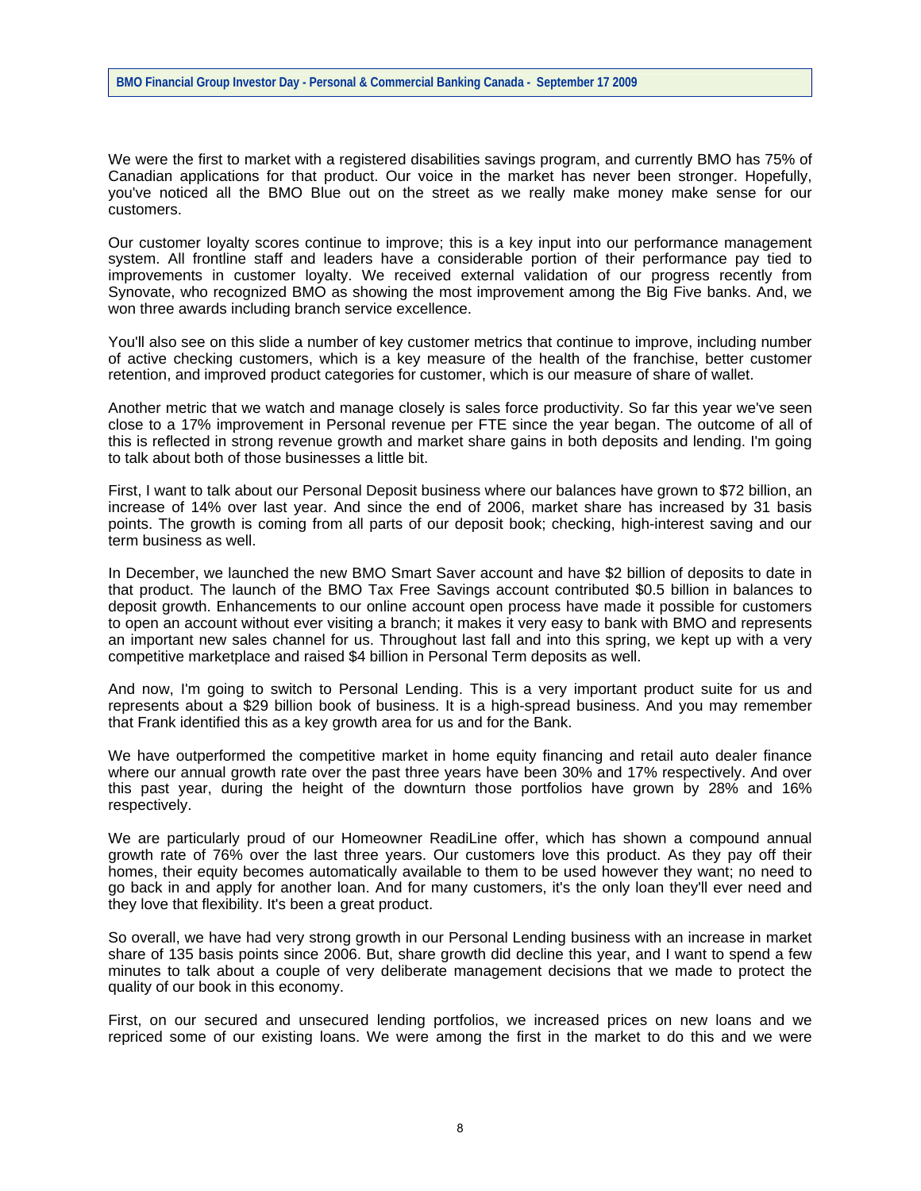We were the first to market with a registered disabilities savings program, and currently BMO has 75% of Canadian applications for that product. Our voice in the market has never been stronger. Hopefully, you've noticed all the BMO Blue out on the street as we really make money make sense for our customers.

Our customer loyalty scores continue to improve; this is a key input into our performance management system. All frontline staff and leaders have a considerable portion of their performance pay tied to improvements in customer loyalty. We received external validation of our progress recently from Synovate, who recognized BMO as showing the most improvement among the Big Five banks. And, we won three awards including branch service excellence.

You'll also see on this slide a number of key customer metrics that continue to improve, including number of active checking customers, which is a key measure of the health of the franchise, better customer retention, and improved product categories for customer, which is our measure of share of wallet.

Another metric that we watch and manage closely is sales force productivity. So far this year we've seen close to a 17% improvement in Personal revenue per FTE since the year began. The outcome of all of this is reflected in strong revenue growth and market share gains in both deposits and lending. I'm going to talk about both of those businesses a little bit.

First, I want to talk about our Personal Deposit business where our balances have grown to \$72 billion, an increase of 14% over last year. And since the end of 2006, market share has increased by 31 basis points. The growth is coming from all parts of our deposit book; checking, high-interest saving and our term business as well.

In December, we launched the new BMO Smart Saver account and have \$2 billion of deposits to date in that product. The launch of the BMO Tax Free Savings account contributed \$0.5 billion in balances to deposit growth. Enhancements to our online account open process have made it possible for customers to open an account without ever visiting a branch; it makes it very easy to bank with BMO and represents an important new sales channel for us. Throughout last fall and into this spring, we kept up with a very competitive marketplace and raised \$4 billion in Personal Term deposits as well.

And now, I'm going to switch to Personal Lending. This is a very important product suite for us and represents about a \$29 billion book of business. It is a high-spread business. And you may remember that Frank identified this as a key growth area for us and for the Bank.

We have outperformed the competitive market in home equity financing and retail auto dealer finance where our annual growth rate over the past three years have been 30% and 17% respectively. And over this past year, during the height of the downturn those portfolios have grown by 28% and 16% respectively.

We are particularly proud of our Homeowner ReadiLine offer, which has shown a compound annual growth rate of 76% over the last three years. Our customers love this product. As they pay off their homes, their equity becomes automatically available to them to be used however they want; no need to go back in and apply for another loan. And for many customers, it's the only loan they'll ever need and they love that flexibility. It's been a great product.

So overall, we have had very strong growth in our Personal Lending business with an increase in market share of 135 basis points since 2006. But, share growth did decline this year, and I want to spend a few minutes to talk about a couple of very deliberate management decisions that we made to protect the quality of our book in this economy.

First, on our secured and unsecured lending portfolios, we increased prices on new loans and we repriced some of our existing loans. We were among the first in the market to do this and we were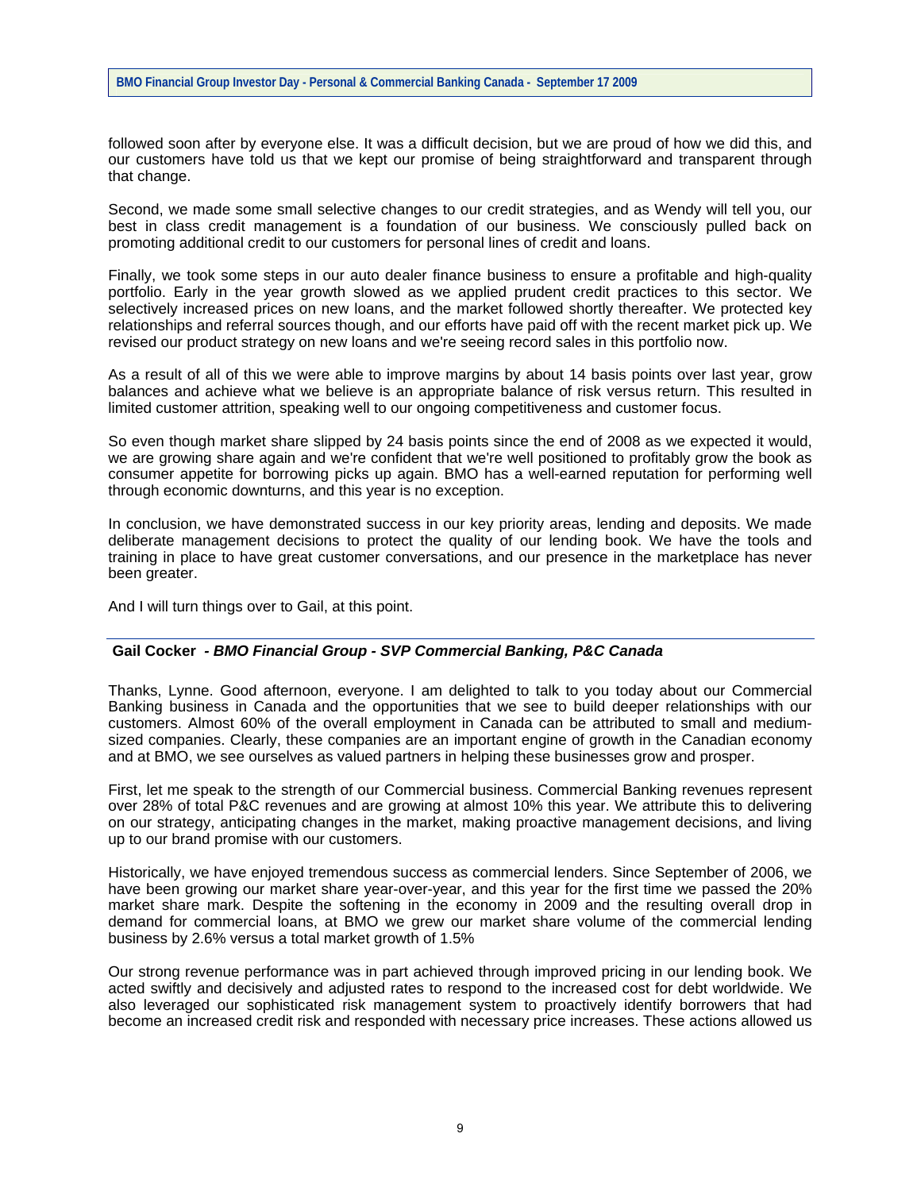followed soon after by everyone else. It was a difficult decision, but we are proud of how we did this, and our customers have told us that we kept our promise of being straightforward and transparent through that change.

Second, we made some small selective changes to our credit strategies, and as Wendy will tell you, our best in class credit management is a foundation of our business. We consciously pulled back on promoting additional credit to our customers for personal lines of credit and loans.

Finally, we took some steps in our auto dealer finance business to ensure a profitable and high-quality portfolio. Early in the year growth slowed as we applied prudent credit practices to this sector. We selectively increased prices on new loans, and the market followed shortly thereafter. We protected key relationships and referral sources though, and our efforts have paid off with the recent market pick up. We revised our product strategy on new loans and we're seeing record sales in this portfolio now.

As a result of all of this we were able to improve margins by about 14 basis points over last year, grow balances and achieve what we believe is an appropriate balance of risk versus return. This resulted in limited customer attrition, speaking well to our ongoing competitiveness and customer focus.

So even though market share slipped by 24 basis points since the end of 2008 as we expected it would, we are growing share again and we're confident that we're well positioned to profitably grow the book as consumer appetite for borrowing picks up again. BMO has a well-earned reputation for performing well through economic downturns, and this year is no exception.

In conclusion, we have demonstrated success in our key priority areas, lending and deposits. We made deliberate management decisions to protect the quality of our lending book. We have the tools and training in place to have great customer conversations, and our presence in the marketplace has never been greater.

And I will turn things over to Gail, at this point.

## **Gail Cocker** *- BMO Financial Group - SVP Commercial Banking, P&C Canada*

Thanks, Lynne. Good afternoon, everyone. I am delighted to talk to you today about our Commercial Banking business in Canada and the opportunities that we see to build deeper relationships with our customers. Almost 60% of the overall employment in Canada can be attributed to small and mediumsized companies. Clearly, these companies are an important engine of growth in the Canadian economy and at BMO, we see ourselves as valued partners in helping these businesses grow and prosper.

First, let me speak to the strength of our Commercial business. Commercial Banking revenues represent over 28% of total P&C revenues and are growing at almost 10% this year. We attribute this to delivering on our strategy, anticipating changes in the market, making proactive management decisions, and living up to our brand promise with our customers.

Historically, we have enjoyed tremendous success as commercial lenders. Since September of 2006, we have been growing our market share year-over-year, and this year for the first time we passed the 20% market share mark. Despite the softening in the economy in 2009 and the resulting overall drop in demand for commercial loans, at BMO we grew our market share volume of the commercial lending business by 2.6% versus a total market growth of 1.5%

Our strong revenue performance was in part achieved through improved pricing in our lending book. We acted swiftly and decisively and adjusted rates to respond to the increased cost for debt worldwide. We also leveraged our sophisticated risk management system to proactively identify borrowers that had become an increased credit risk and responded with necessary price increases. These actions allowed us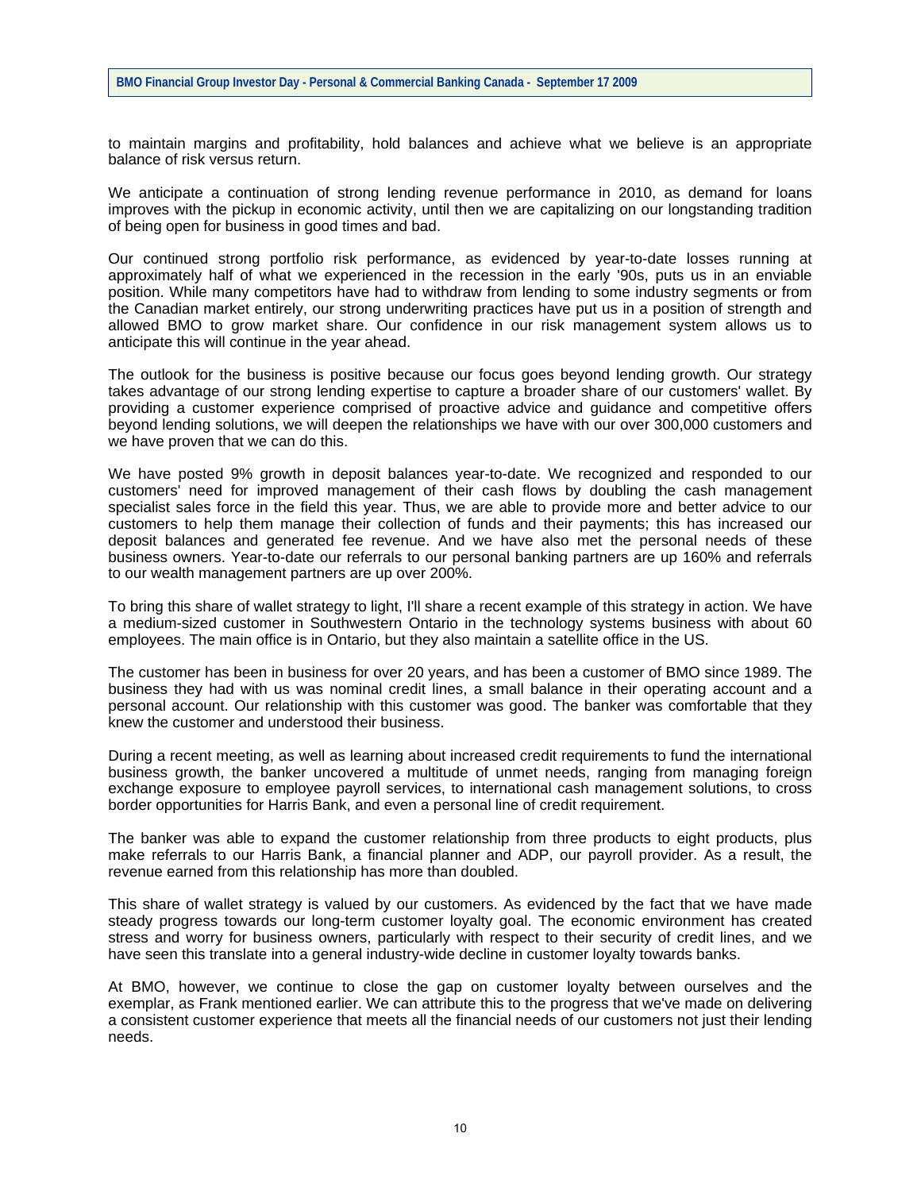to maintain margins and profitability, hold balances and achieve what we believe is an appropriate balance of risk versus return.

We anticipate a continuation of strong lending revenue performance in 2010, as demand for loans improves with the pickup in economic activity, until then we are capitalizing on our longstanding tradition of being open for business in good times and bad.

Our continued strong portfolio risk performance, as evidenced by year-to-date losses running at approximately half of what we experienced in the recession in the early '90s, puts us in an enviable position. While many competitors have had to withdraw from lending to some industry segments or from the Canadian market entirely, our strong underwriting practices have put us in a position of strength and allowed BMO to grow market share. Our confidence in our risk management system allows us to anticipate this will continue in the year ahead.

The outlook for the business is positive because our focus goes beyond lending growth. Our strategy takes advantage of our strong lending expertise to capture a broader share of our customers' wallet. By providing a customer experience comprised of proactive advice and guidance and competitive offers beyond lending solutions, we will deepen the relationships we have with our over 300,000 customers and we have proven that we can do this.

We have posted 9% growth in deposit balances year-to-date. We recognized and responded to our customers' need for improved management of their cash flows by doubling the cash management specialist sales force in the field this year. Thus, we are able to provide more and better advice to our customers to help them manage their collection of funds and their payments; this has increased our deposit balances and generated fee revenue. And we have also met the personal needs of these business owners. Year-to-date our referrals to our personal banking partners are up 160% and referrals to our wealth management partners are up over 200%.

To bring this share of wallet strategy to light, I'll share a recent example of this strategy in action. We have a medium-sized customer in Southwestern Ontario in the technology systems business with about 60 employees. The main office is in Ontario, but they also maintain a satellite office in the US.

The customer has been in business for over 20 years, and has been a customer of BMO since 1989. The business they had with us was nominal credit lines, a small balance in their operating account and a personal account. Our relationship with this customer was good. The banker was comfortable that they knew the customer and understood their business.

During a recent meeting, as well as learning about increased credit requirements to fund the international business growth, the banker uncovered a multitude of unmet needs, ranging from managing foreign exchange exposure to employee payroll services, to international cash management solutions, to cross border opportunities for Harris Bank, and even a personal line of credit requirement.

The banker was able to expand the customer relationship from three products to eight products, plus make referrals to our Harris Bank, a financial planner and ADP, our payroll provider. As a result, the revenue earned from this relationship has more than doubled.

This share of wallet strategy is valued by our customers. As evidenced by the fact that we have made steady progress towards our long-term customer loyalty goal. The economic environment has created stress and worry for business owners, particularly with respect to their security of credit lines, and we have seen this translate into a general industry-wide decline in customer loyalty towards banks.

At BMO, however, we continue to close the gap on customer loyalty between ourselves and the exemplar, as Frank mentioned earlier. We can attribute this to the progress that we've made on delivering a consistent customer experience that meets all the financial needs of our customers not just their lending needs.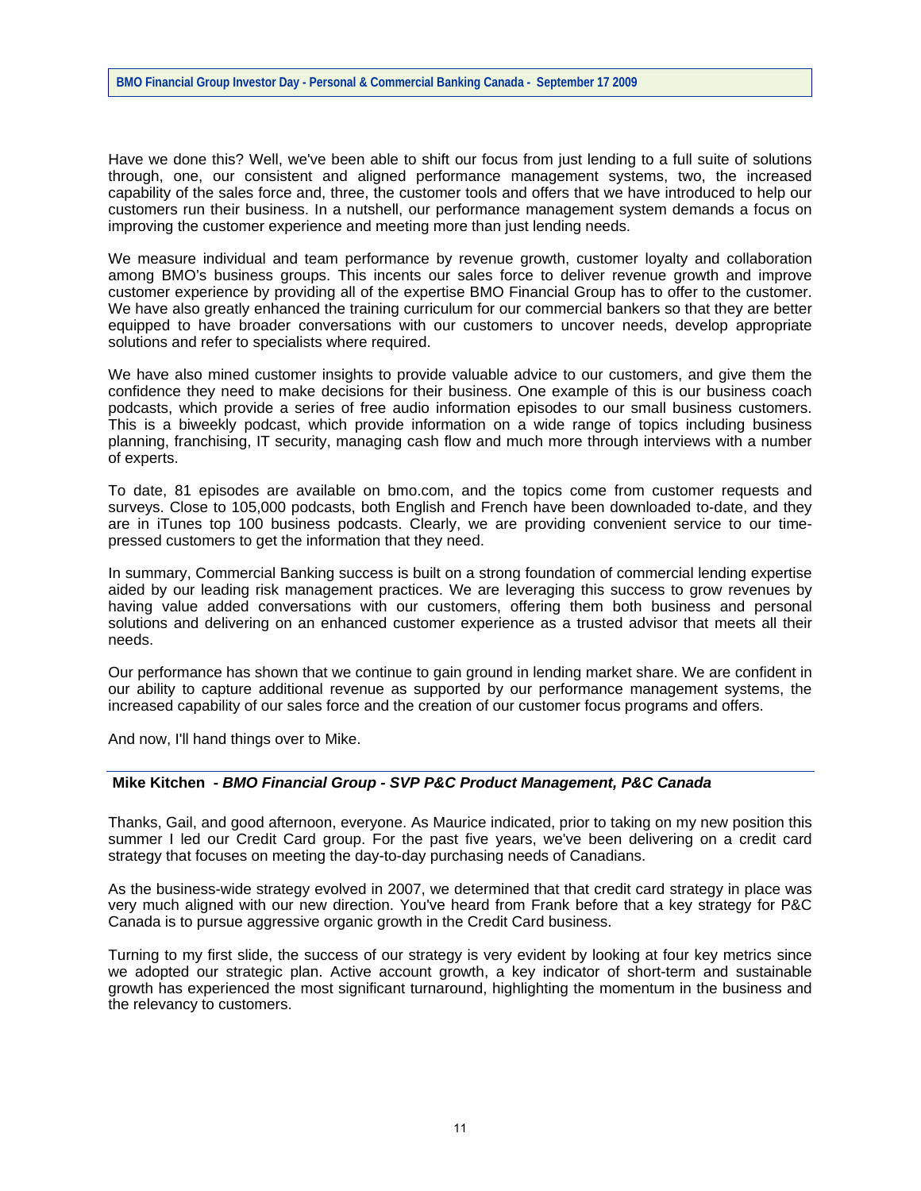Have we done this? Well, we've been able to shift our focus from just lending to a full suite of solutions through, one, our consistent and aligned performance management systems, two, the increased capability of the sales force and, three, the customer tools and offers that we have introduced to help our customers run their business. In a nutshell, our performance management system demands a focus on improving the customer experience and meeting more than just lending needs.

We measure individual and team performance by revenue growth, customer loyalty and collaboration among BMO's business groups. This incents our sales force to deliver revenue growth and improve customer experience by providing all of the expertise BMO Financial Group has to offer to the customer. We have also greatly enhanced the training curriculum for our commercial bankers so that they are better equipped to have broader conversations with our customers to uncover needs, develop appropriate solutions and refer to specialists where required.

We have also mined customer insights to provide valuable advice to our customers, and give them the confidence they need to make decisions for their business. One example of this is our business coach podcasts, which provide a series of free audio information episodes to our small business customers. This is a biweekly podcast, which provide information on a wide range of topics including business planning, franchising, IT security, managing cash flow and much more through interviews with a number of experts.

To date, 81 episodes are available on bmo.com, and the topics come from customer requests and surveys. Close to 105,000 podcasts, both English and French have been downloaded to-date, and they are in iTunes top 100 business podcasts. Clearly, we are providing convenient service to our timepressed customers to get the information that they need.

In summary, Commercial Banking success is built on a strong foundation of commercial lending expertise aided by our leading risk management practices. We are leveraging this success to grow revenues by having value added conversations with our customers, offering them both business and personal solutions and delivering on an enhanced customer experience as a trusted advisor that meets all their needs.

Our performance has shown that we continue to gain ground in lending market share. We are confident in our ability to capture additional revenue as supported by our performance management systems, the increased capability of our sales force and the creation of our customer focus programs and offers.

And now, I'll hand things over to Mike.

## **Mike Kitchen** *- BMO Financial Group - SVP P&C Product Management, P&C Canada*

Thanks, Gail, and good afternoon, everyone. As Maurice indicated, prior to taking on my new position this summer I led our Credit Card group. For the past five years, we've been delivering on a credit card strategy that focuses on meeting the day-to-day purchasing needs of Canadians.

As the business-wide strategy evolved in 2007, we determined that that credit card strategy in place was very much aligned with our new direction. You've heard from Frank before that a key strategy for P&C Canada is to pursue aggressive organic growth in the Credit Card business.

Turning to my first slide, the success of our strategy is very evident by looking at four key metrics since we adopted our strategic plan. Active account growth, a key indicator of short-term and sustainable growth has experienced the most significant turnaround, highlighting the momentum in the business and the relevancy to customers.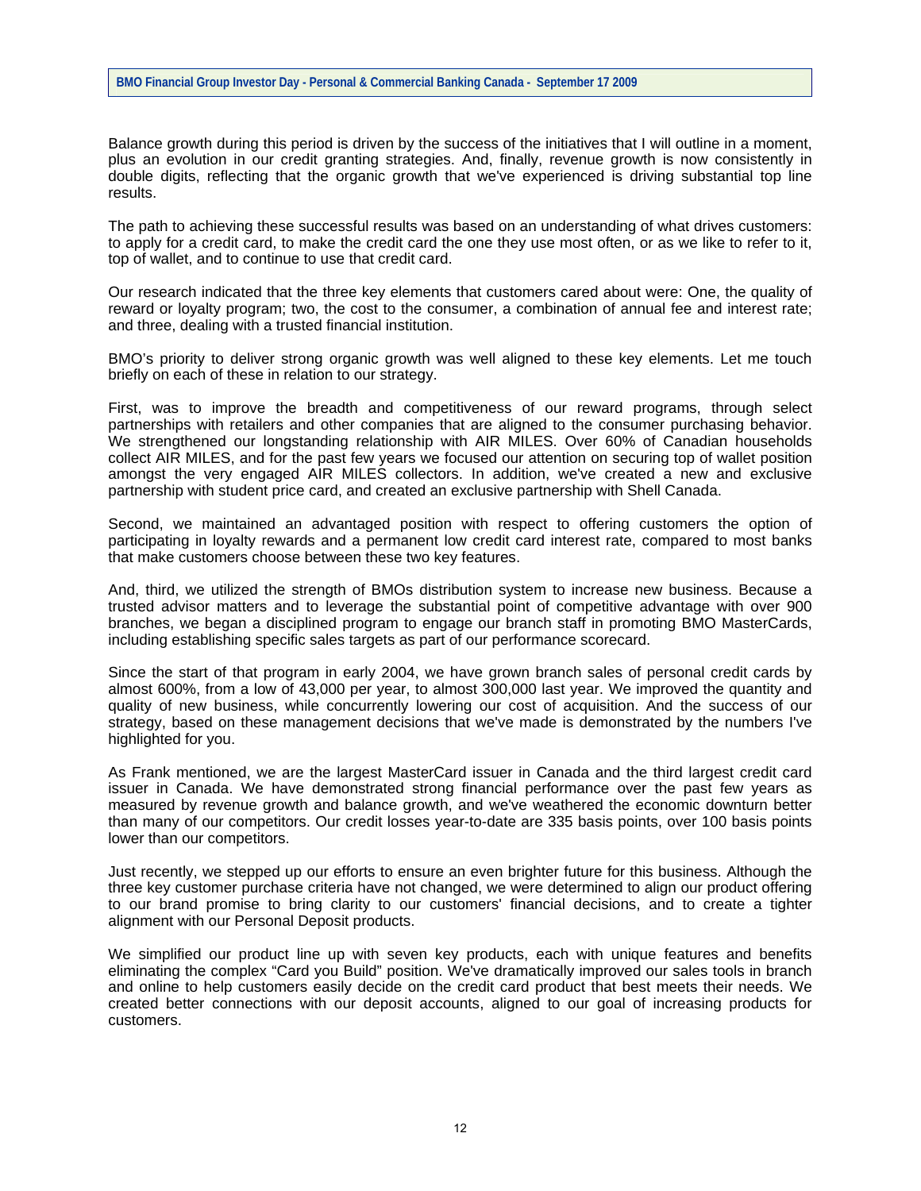Balance growth during this period is driven by the success of the initiatives that I will outline in a moment, plus an evolution in our credit granting strategies. And, finally, revenue growth is now consistently in double digits, reflecting that the organic growth that we've experienced is driving substantial top line results.

The path to achieving these successful results was based on an understanding of what drives customers: to apply for a credit card, to make the credit card the one they use most often, or as we like to refer to it, top of wallet, and to continue to use that credit card.

Our research indicated that the three key elements that customers cared about were: One, the quality of reward or loyalty program; two, the cost to the consumer, a combination of annual fee and interest rate; and three, dealing with a trusted financial institution.

BMO's priority to deliver strong organic growth was well aligned to these key elements. Let me touch briefly on each of these in relation to our strategy.

First, was to improve the breadth and competitiveness of our reward programs, through select partnerships with retailers and other companies that are aligned to the consumer purchasing behavior. We strengthened our longstanding relationship with AIR MILES. Over 60% of Canadian households collect AIR MILES, and for the past few years we focused our attention on securing top of wallet position amongst the very engaged AIR MILES collectors. In addition, we've created a new and exclusive partnership with student price card, and created an exclusive partnership with Shell Canada.

Second, we maintained an advantaged position with respect to offering customers the option of participating in loyalty rewards and a permanent low credit card interest rate, compared to most banks that make customers choose between these two key features.

And, third, we utilized the strength of BMOs distribution system to increase new business. Because a trusted advisor matters and to leverage the substantial point of competitive advantage with over 900 branches, we began a disciplined program to engage our branch staff in promoting BMO MasterCards, including establishing specific sales targets as part of our performance scorecard.

Since the start of that program in early 2004, we have grown branch sales of personal credit cards by almost 600%, from a low of 43,000 per year, to almost 300,000 last year. We improved the quantity and quality of new business, while concurrently lowering our cost of acquisition. And the success of our strategy, based on these management decisions that we've made is demonstrated by the numbers I've highlighted for you.

As Frank mentioned, we are the largest MasterCard issuer in Canada and the third largest credit card issuer in Canada. We have demonstrated strong financial performance over the past few years as measured by revenue growth and balance growth, and we've weathered the economic downturn better than many of our competitors. Our credit losses year-to-date are 335 basis points, over 100 basis points lower than our competitors.

Just recently, we stepped up our efforts to ensure an even brighter future for this business. Although the three key customer purchase criteria have not changed, we were determined to align our product offering to our brand promise to bring clarity to our customers' financial decisions, and to create a tighter alignment with our Personal Deposit products.

We simplified our product line up with seven key products, each with unique features and benefits eliminating the complex "Card you Build" position. We've dramatically improved our sales tools in branch and online to help customers easily decide on the credit card product that best meets their needs. We created better connections with our deposit accounts, aligned to our goal of increasing products for customers.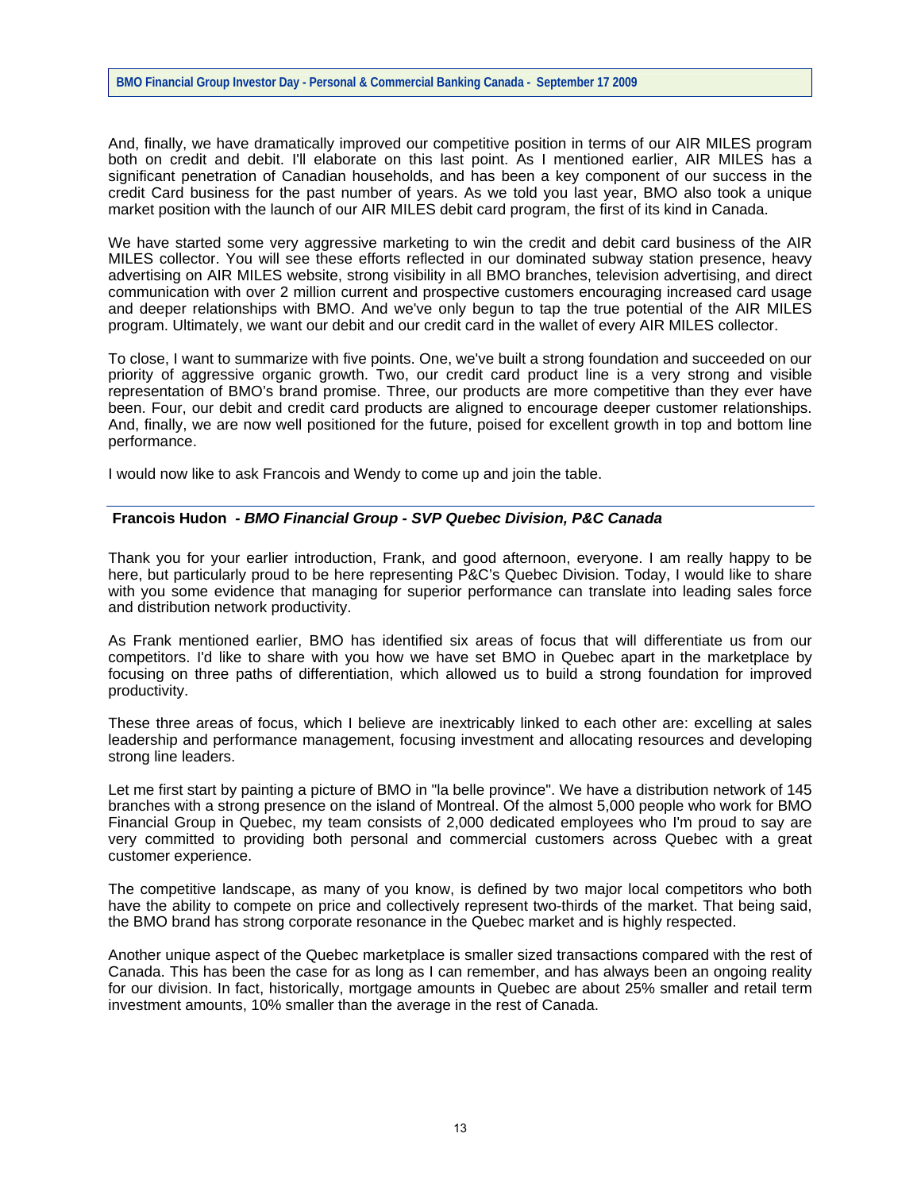And, finally, we have dramatically improved our competitive position in terms of our AIR MILES program both on credit and debit. I'll elaborate on this last point. As I mentioned earlier, AIR MILES has a significant penetration of Canadian households, and has been a key component of our success in the credit Card business for the past number of years. As we told you last year, BMO also took a unique market position with the launch of our AIR MILES debit card program, the first of its kind in Canada.

We have started some very aggressive marketing to win the credit and debit card business of the AIR MILES collector. You will see these efforts reflected in our dominated subway station presence, heavy advertising on AIR MILES website, strong visibility in all BMO branches, television advertising, and direct communication with over 2 million current and prospective customers encouraging increased card usage and deeper relationships with BMO. And we've only begun to tap the true potential of the AIR MILES program. Ultimately, we want our debit and our credit card in the wallet of every AIR MILES collector.

To close, I want to summarize with five points. One, we've built a strong foundation and succeeded on our priority of aggressive organic growth. Two, our credit card product line is a very strong and visible representation of BMO's brand promise. Three, our products are more competitive than they ever have been. Four, our debit and credit card products are aligned to encourage deeper customer relationships. And, finally, we are now well positioned for the future, poised for excellent growth in top and bottom line performance.

I would now like to ask Francois and Wendy to come up and join the table.

## **Francois Hudon** *- BMO Financial Group - SVP Quebec Division, P&C Canada*

Thank you for your earlier introduction, Frank, and good afternoon, everyone. I am really happy to be here, but particularly proud to be here representing P&C's Quebec Division. Today, I would like to share with you some evidence that managing for superior performance can translate into leading sales force and distribution network productivity.

As Frank mentioned earlier, BMO has identified six areas of focus that will differentiate us from our competitors. I'd like to share with you how we have set BMO in Quebec apart in the marketplace by focusing on three paths of differentiation, which allowed us to build a strong foundation for improved productivity.

These three areas of focus, which I believe are inextricably linked to each other are: excelling at sales leadership and performance management, focusing investment and allocating resources and developing strong line leaders.

Let me first start by painting a picture of BMO in "la belle province". We have a distribution network of 145 branches with a strong presence on the island of Montreal. Of the almost 5,000 people who work for BMO Financial Group in Quebec, my team consists of 2,000 dedicated employees who I'm proud to say are very committed to providing both personal and commercial customers across Quebec with a great customer experience.

The competitive landscape, as many of you know, is defined by two major local competitors who both have the ability to compete on price and collectively represent two-thirds of the market. That being said, the BMO brand has strong corporate resonance in the Quebec market and is highly respected.

Another unique aspect of the Quebec marketplace is smaller sized transactions compared with the rest of Canada. This has been the case for as long as I can remember, and has always been an ongoing reality for our division. In fact, historically, mortgage amounts in Quebec are about 25% smaller and retail term investment amounts, 10% smaller than the average in the rest of Canada.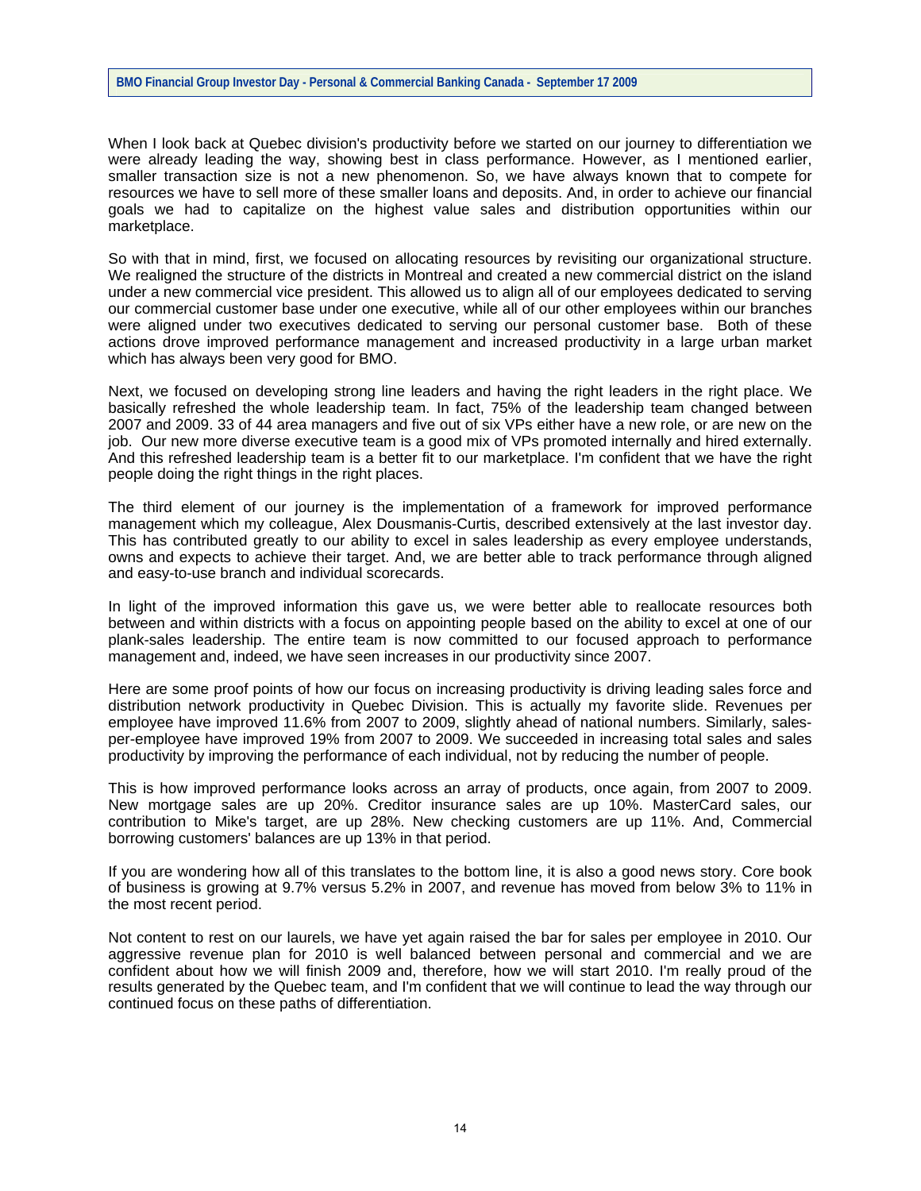#### **BMO Financial Group Investor Day - Personal & Commercial Banking Canada - September 17 2009**

When I look back at Quebec division's productivity before we started on our journey to differentiation we were already leading the way, showing best in class performance. However, as I mentioned earlier, smaller transaction size is not a new phenomenon. So, we have always known that to compete for resources we have to sell more of these smaller loans and deposits. And, in order to achieve our financial goals we had to capitalize on the highest value sales and distribution opportunities within our marketplace.

So with that in mind, first, we focused on allocating resources by revisiting our organizational structure. We realigned the structure of the districts in Montreal and created a new commercial district on the island under a new commercial vice president. This allowed us to align all of our employees dedicated to serving our commercial customer base under one executive, while all of our other employees within our branches were aligned under two executives dedicated to serving our personal customer base. Both of these actions drove improved performance management and increased productivity in a large urban market which has always been very good for BMO.

Next, we focused on developing strong line leaders and having the right leaders in the right place. We basically refreshed the whole leadership team. In fact, 75% of the leadership team changed between 2007 and 2009. 33 of 44 area managers and five out of six VPs either have a new role, or are new on the job. Our new more diverse executive team is a good mix of VPs promoted internally and hired externally. And this refreshed leadership team is a better fit to our marketplace. I'm confident that we have the right people doing the right things in the right places.

The third element of our journey is the implementation of a framework for improved performance management which my colleague, Alex Dousmanis-Curtis, described extensively at the last investor day. This has contributed greatly to our ability to excel in sales leadership as every employee understands, owns and expects to achieve their target. And, we are better able to track performance through aligned and easy-to-use branch and individual scorecards.

In light of the improved information this gave us, we were better able to reallocate resources both between and within districts with a focus on appointing people based on the ability to excel at one of our plank-sales leadership. The entire team is now committed to our focused approach to performance management and, indeed, we have seen increases in our productivity since 2007.

Here are some proof points of how our focus on increasing productivity is driving leading sales force and distribution network productivity in Quebec Division. This is actually my favorite slide. Revenues per employee have improved 11.6% from 2007 to 2009, slightly ahead of national numbers. Similarly, salesper-employee have improved 19% from 2007 to 2009. We succeeded in increasing total sales and sales productivity by improving the performance of each individual, not by reducing the number of people.

This is how improved performance looks across an array of products, once again, from 2007 to 2009. New mortgage sales are up 20%. Creditor insurance sales are up 10%. MasterCard sales, our contribution to Mike's target, are up 28%. New checking customers are up 11%. And, Commercial borrowing customers' balances are up 13% in that period.

If you are wondering how all of this translates to the bottom line, it is also a good news story. Core book of business is growing at 9.7% versus 5.2% in 2007, and revenue has moved from below 3% to 11% in the most recent period.

Not content to rest on our laurels, we have yet again raised the bar for sales per employee in 2010. Our aggressive revenue plan for 2010 is well balanced between personal and commercial and we are confident about how we will finish 2009 and, therefore, how we will start 2010. I'm really proud of the results generated by the Quebec team, and I'm confident that we will continue to lead the way through our continued focus on these paths of differentiation.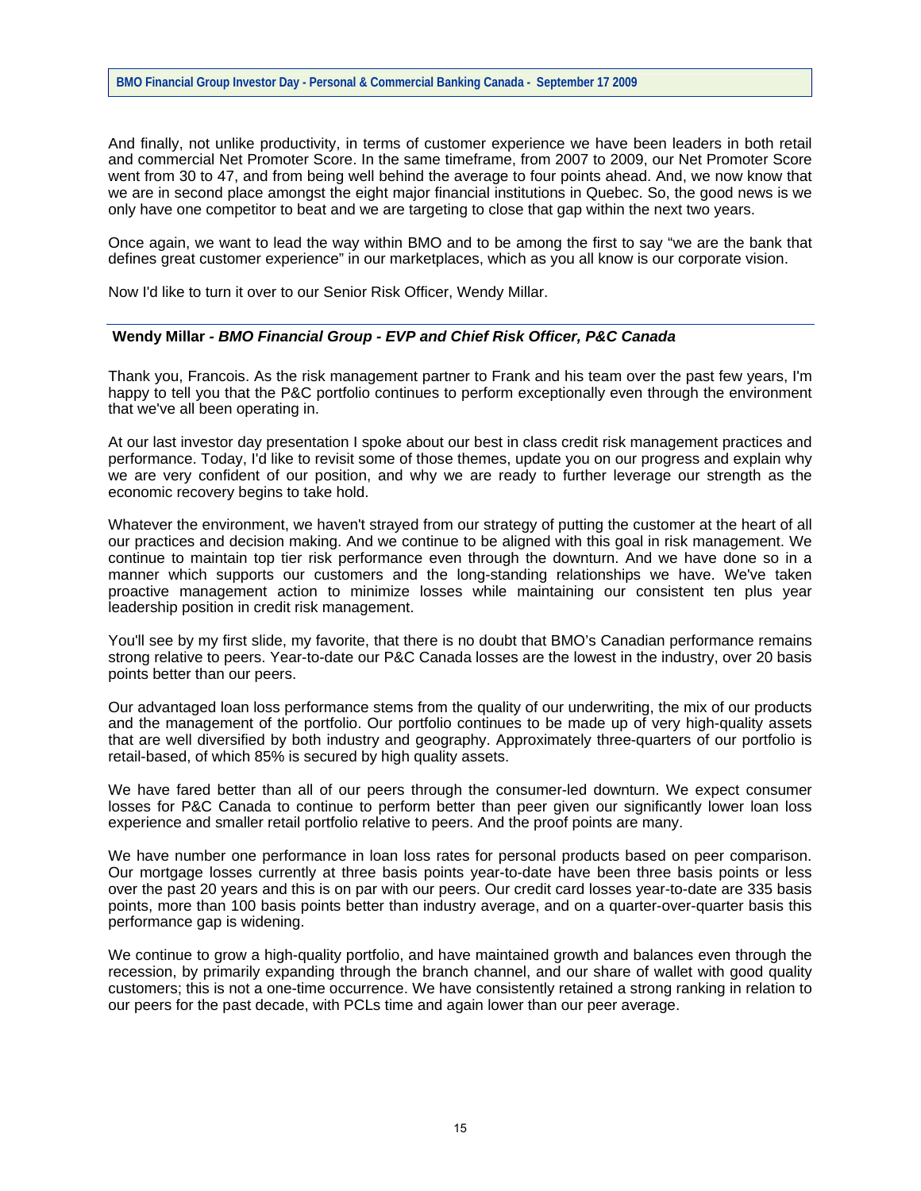And finally, not unlike productivity, in terms of customer experience we have been leaders in both retail and commercial Net Promoter Score. In the same timeframe, from 2007 to 2009, our Net Promoter Score went from 30 to 47, and from being well behind the average to four points ahead. And, we now know that we are in second place amongst the eight major financial institutions in Quebec. So, the good news is we only have one competitor to beat and we are targeting to close that gap within the next two years.

Once again, we want to lead the way within BMO and to be among the first to say "we are the bank that defines great customer experience" in our marketplaces, which as you all know is our corporate vision.

Now I'd like to turn it over to our Senior Risk Officer, Wendy Millar.

#### **Wendy Millar** *- BMO Financial Group - EVP and Chief Risk Officer, P&C Canada*

Thank you, Francois. As the risk management partner to Frank and his team over the past few years, I'm happy to tell you that the P&C portfolio continues to perform exceptionally even through the environment that we've all been operating in.

At our last investor day presentation I spoke about our best in class credit risk management practices and performance. Today, I'd like to revisit some of those themes, update you on our progress and explain why we are very confident of our position, and why we are ready to further leverage our strength as the economic recovery begins to take hold.

Whatever the environment, we haven't strayed from our strategy of putting the customer at the heart of all our practices and decision making. And we continue to be aligned with this goal in risk management. We continue to maintain top tier risk performance even through the downturn. And we have done so in a manner which supports our customers and the long-standing relationships we have. We've taken proactive management action to minimize losses while maintaining our consistent ten plus year leadership position in credit risk management.

You'll see by my first slide, my favorite, that there is no doubt that BMO's Canadian performance remains strong relative to peers. Year-to-date our P&C Canada losses are the lowest in the industry, over 20 basis points better than our peers.

Our advantaged loan loss performance stems from the quality of our underwriting, the mix of our products and the management of the portfolio. Our portfolio continues to be made up of very high-quality assets that are well diversified by both industry and geography. Approximately three-quarters of our portfolio is retail-based, of which 85% is secured by high quality assets.

We have fared better than all of our peers through the consumer-led downturn. We expect consumer losses for P&C Canada to continue to perform better than peer given our significantly lower loan loss experience and smaller retail portfolio relative to peers. And the proof points are many.

We have number one performance in loan loss rates for personal products based on peer comparison. Our mortgage losses currently at three basis points year-to-date have been three basis points or less over the past 20 years and this is on par with our peers. Our credit card losses year-to-date are 335 basis points, more than 100 basis points better than industry average, and on a quarter-over-quarter basis this performance gap is widening.

We continue to grow a high-quality portfolio, and have maintained growth and balances even through the recession, by primarily expanding through the branch channel, and our share of wallet with good quality customers; this is not a one-time occurrence. We have consistently retained a strong ranking in relation to our peers for the past decade, with PCLs time and again lower than our peer average.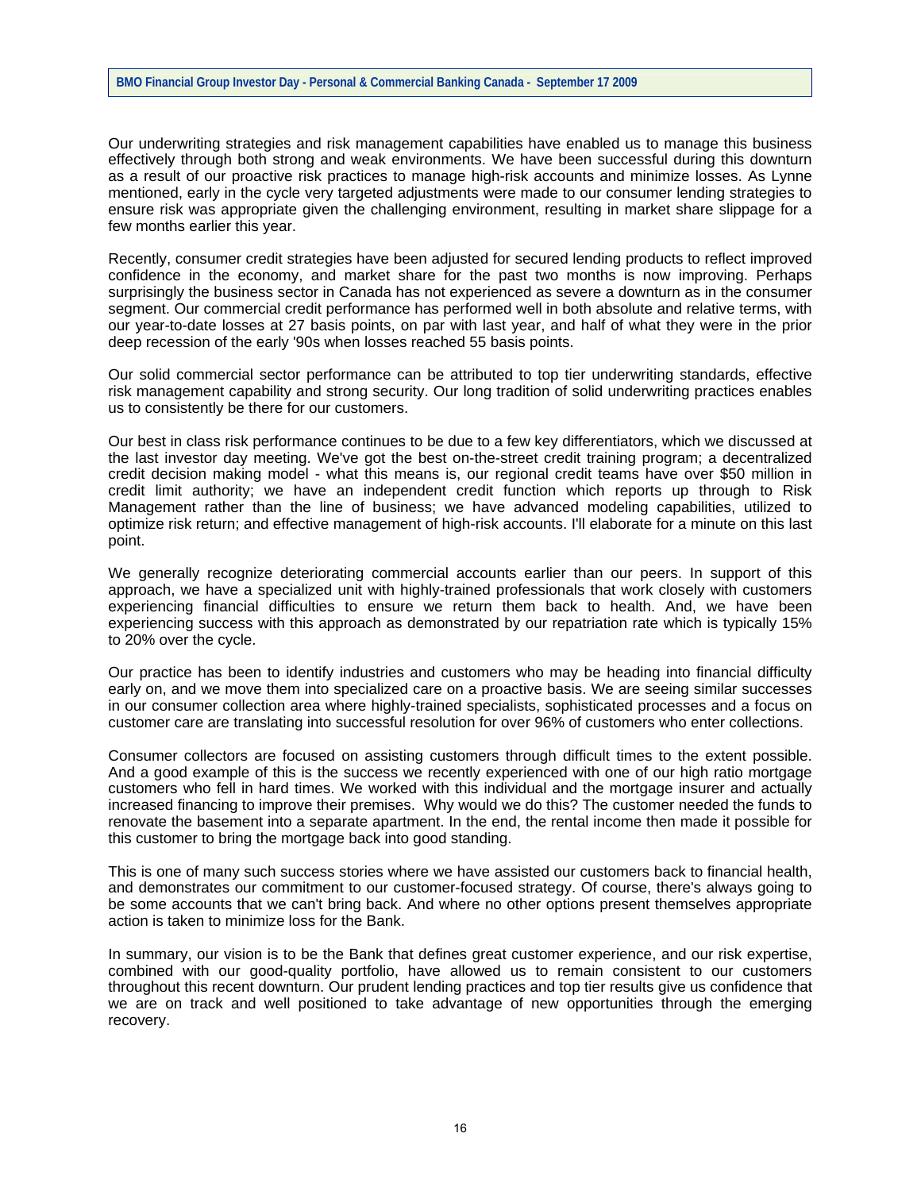#### **BMO Financial Group Investor Day - Personal & Commercial Banking Canada - September 17 2009**

Our underwriting strategies and risk management capabilities have enabled us to manage this business effectively through both strong and weak environments. We have been successful during this downturn as a result of our proactive risk practices to manage high-risk accounts and minimize losses. As Lynne mentioned, early in the cycle very targeted adjustments were made to our consumer lending strategies to ensure risk was appropriate given the challenging environment, resulting in market share slippage for a few months earlier this year.

Recently, consumer credit strategies have been adjusted for secured lending products to reflect improved confidence in the economy, and market share for the past two months is now improving. Perhaps surprisingly the business sector in Canada has not experienced as severe a downturn as in the consumer segment. Our commercial credit performance has performed well in both absolute and relative terms, with our year-to-date losses at 27 basis points, on par with last year, and half of what they were in the prior deep recession of the early '90s when losses reached 55 basis points.

Our solid commercial sector performance can be attributed to top tier underwriting standards, effective risk management capability and strong security. Our long tradition of solid underwriting practices enables us to consistently be there for our customers.

Our best in class risk performance continues to be due to a few key differentiators, which we discussed at the last investor day meeting. We've got the best on-the-street credit training program; a decentralized credit decision making model - what this means is, our regional credit teams have over \$50 million in credit limit authority; we have an independent credit function which reports up through to Risk Management rather than the line of business; we have advanced modeling capabilities, utilized to optimize risk return; and effective management of high-risk accounts. I'll elaborate for a minute on this last point.

We generally recognize deteriorating commercial accounts earlier than our peers. In support of this approach, we have a specialized unit with highly-trained professionals that work closely with customers experiencing financial difficulties to ensure we return them back to health. And, we have been experiencing success with this approach as demonstrated by our repatriation rate which is typically 15% to 20% over the cycle.

Our practice has been to identify industries and customers who may be heading into financial difficulty early on, and we move them into specialized care on a proactive basis. We are seeing similar successes in our consumer collection area where highly-trained specialists, sophisticated processes and a focus on customer care are translating into successful resolution for over 96% of customers who enter collections.

Consumer collectors are focused on assisting customers through difficult times to the extent possible. And a good example of this is the success we recently experienced with one of our high ratio mortgage customers who fell in hard times. We worked with this individual and the mortgage insurer and actually increased financing to improve their premises. Why would we do this? The customer needed the funds to renovate the basement into a separate apartment. In the end, the rental income then made it possible for this customer to bring the mortgage back into good standing.

This is one of many such success stories where we have assisted our customers back to financial health, and demonstrates our commitment to our customer-focused strategy. Of course, there's always going to be some accounts that we can't bring back. And where no other options present themselves appropriate action is taken to minimize loss for the Bank.

In summary, our vision is to be the Bank that defines great customer experience, and our risk expertise, combined with our good-quality portfolio, have allowed us to remain consistent to our customers throughout this recent downturn. Our prudent lending practices and top tier results give us confidence that we are on track and well positioned to take advantage of new opportunities through the emerging recovery.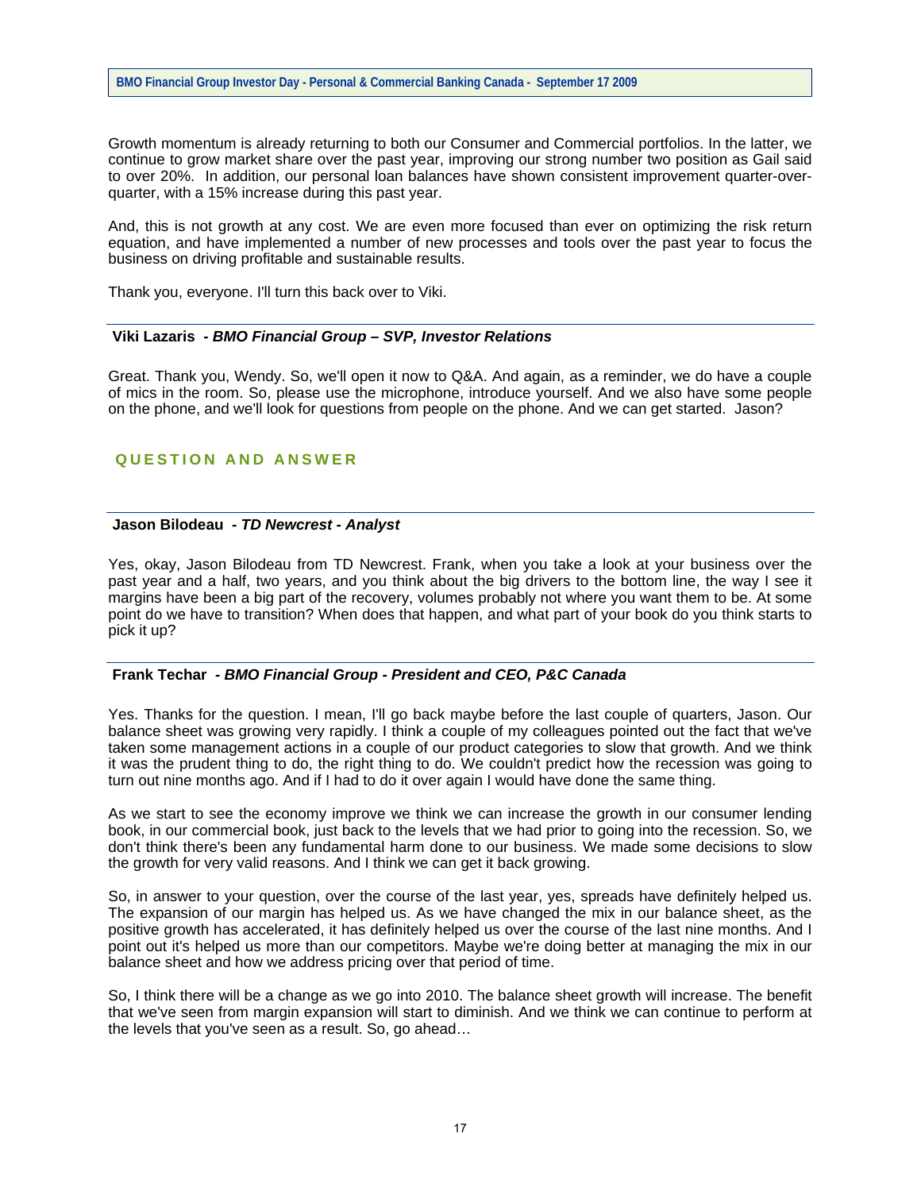Growth momentum is already returning to both our Consumer and Commercial portfolios. In the latter, we continue to grow market share over the past year, improving our strong number two position as Gail said to over 20%. In addition, our personal loan balances have shown consistent improvement quarter-overquarter, with a 15% increase during this past year.

And, this is not growth at any cost. We are even more focused than ever on optimizing the risk return equation, and have implemented a number of new processes and tools over the past year to focus the business on driving profitable and sustainable results.

Thank you, everyone. I'll turn this back over to Viki.

#### **Viki Lazaris** *- BMO Financial Group – SVP, Investor Relations*

Great. Thank you, Wendy. So, we'll open it now to Q&A. And again, as a reminder, we do have a couple of mics in the room. So, please use the microphone, introduce yourself. And we also have some people on the phone, and we'll look for questions from people on the phone. And we can get started. Jason?

# **QUESTION AND ANSWER**

#### **Jason Bilodeau** *- TD Newcrest - Analyst*

Yes, okay, Jason Bilodeau from TD Newcrest. Frank, when you take a look at your business over the past year and a half, two years, and you think about the big drivers to the bottom line, the way I see it margins have been a big part of the recovery, volumes probably not where you want them to be. At some point do we have to transition? When does that happen, and what part of your book do you think starts to pick it up?

## **Frank Techar** *- BMO Financial Group - President and CEO, P&C Canada*

Yes. Thanks for the question. I mean, I'll go back maybe before the last couple of quarters, Jason. Our balance sheet was growing very rapidly. I think a couple of my colleagues pointed out the fact that we've taken some management actions in a couple of our product categories to slow that growth. And we think it was the prudent thing to do, the right thing to do. We couldn't predict how the recession was going to turn out nine months ago. And if I had to do it over again I would have done the same thing.

As we start to see the economy improve we think we can increase the growth in our consumer lending book, in our commercial book, just back to the levels that we had prior to going into the recession. So, we don't think there's been any fundamental harm done to our business. We made some decisions to slow the growth for very valid reasons. And I think we can get it back growing.

So, in answer to your question, over the course of the last year, yes, spreads have definitely helped us. The expansion of our margin has helped us. As we have changed the mix in our balance sheet, as the positive growth has accelerated, it has definitely helped us over the course of the last nine months. And I point out it's helped us more than our competitors. Maybe we're doing better at managing the mix in our balance sheet and how we address pricing over that period of time.

So, I think there will be a change as we go into 2010. The balance sheet growth will increase. The benefit that we've seen from margin expansion will start to diminish. And we think we can continue to perform at the levels that you've seen as a result. So, go ahead…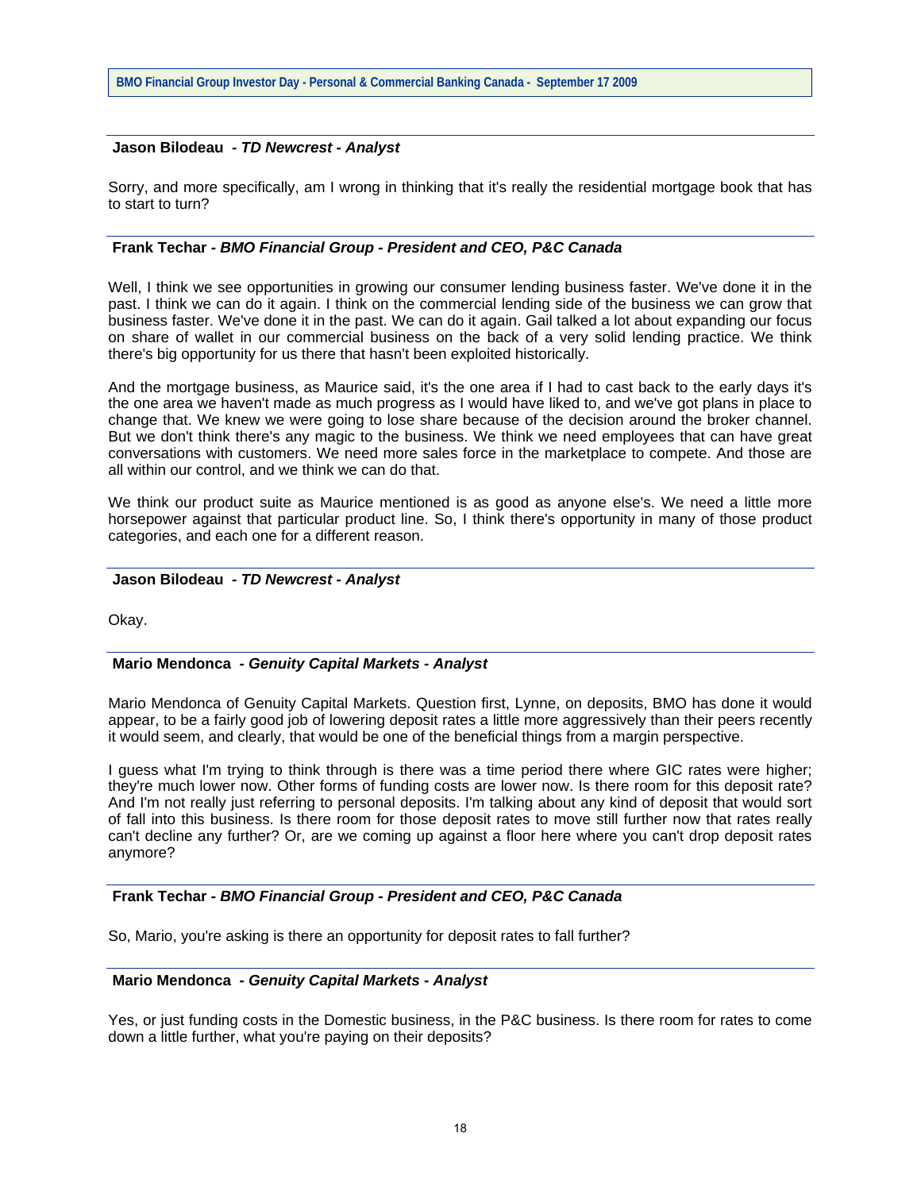### **Jason Bilodeau** *- TD Newcrest - Analyst*

Sorry, and more specifically, am I wrong in thinking that it's really the residential mortgage book that has to start to turn?

# **Frank Techar** *- BMO Financial Group - President and CEO, P&C Canada*

Well, I think we see opportunities in growing our consumer lending business faster. We've done it in the past. I think we can do it again. I think on the commercial lending side of the business we can grow that business faster. We've done it in the past. We can do it again. Gail talked a lot about expanding our focus on share of wallet in our commercial business on the back of a very solid lending practice. We think there's big opportunity for us there that hasn't been exploited historically.

And the mortgage business, as Maurice said, it's the one area if I had to cast back to the early days it's the one area we haven't made as much progress as I would have liked to, and we've got plans in place to change that. We knew we were going to lose share because of the decision around the broker channel. But we don't think there's any magic to the business. We think we need employees that can have great conversations with customers. We need more sales force in the marketplace to compete. And those are all within our control, and we think we can do that.

We think our product suite as Maurice mentioned is as good as anyone else's. We need a little more horsepower against that particular product line. So, I think there's opportunity in many of those product categories, and each one for a different reason.

### **Jason Bilodeau** *- TD Newcrest - Analyst*

Okay.

## **Mario Mendonca** *- Genuity Capital Markets - Analyst*

Mario Mendonca of Genuity Capital Markets. Question first, Lynne, on deposits, BMO has done it would appear, to be a fairly good job of lowering deposit rates a little more aggressively than their peers recently it would seem, and clearly, that would be one of the beneficial things from a margin perspective.

I guess what I'm trying to think through is there was a time period there where GIC rates were higher; they're much lower now. Other forms of funding costs are lower now. Is there room for this deposit rate? And I'm not really just referring to personal deposits. I'm talking about any kind of deposit that would sort of fall into this business. Is there room for those deposit rates to move still further now that rates really can't decline any further? Or, are we coming up against a floor here where you can't drop deposit rates anymore?

#### **Frank Techar** *- BMO Financial Group - President and CEO, P&C Canada*

So, Mario, you're asking is there an opportunity for deposit rates to fall further?

#### **Mario Mendonca** *- Genuity Capital Markets - Analyst*

Yes, or just funding costs in the Domestic business, in the P&C business. Is there room for rates to come down a little further, what you're paying on their deposits?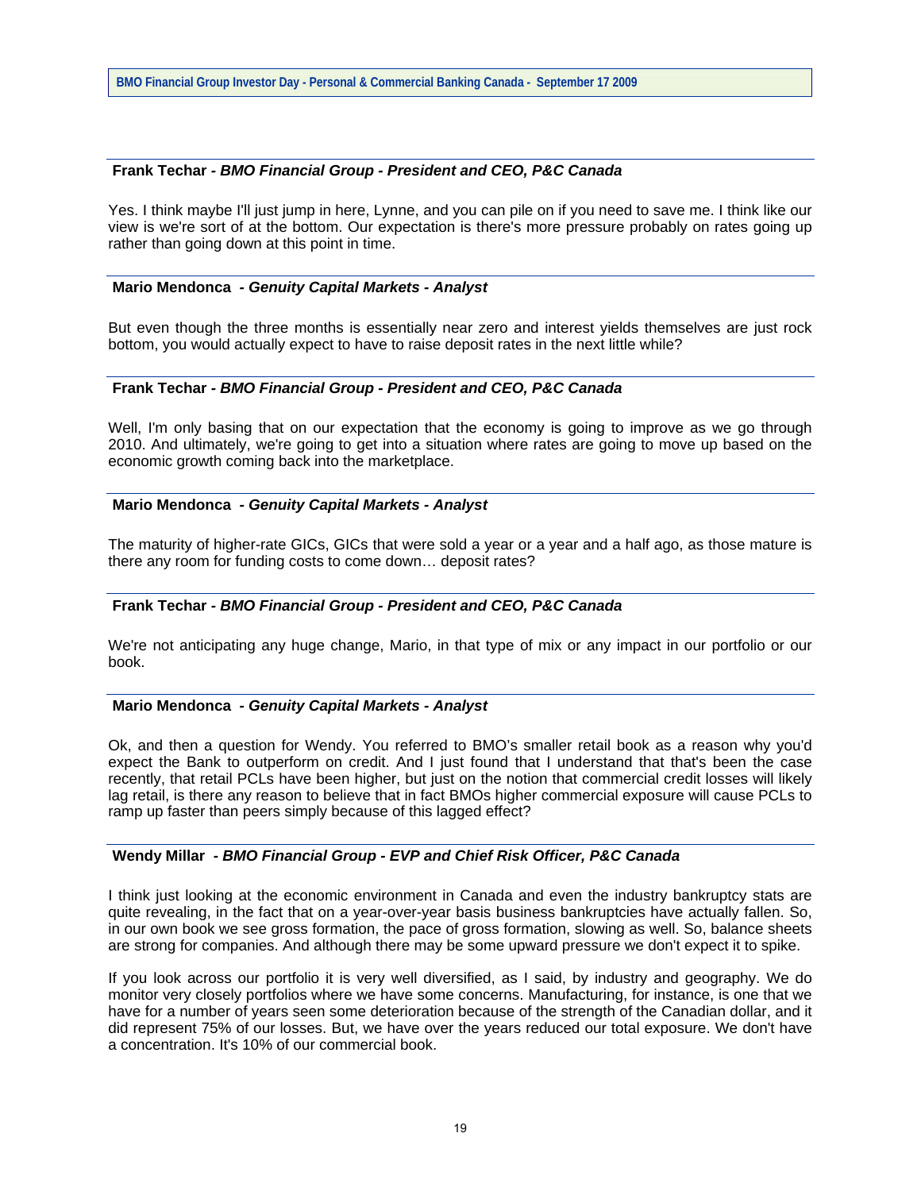## **Frank Techar** *- BMO Financial Group - President and CEO, P&C Canada*

Yes. I think maybe I'll just jump in here, Lynne, and you can pile on if you need to save me. I think like our view is we're sort of at the bottom. Our expectation is there's more pressure probably on rates going up rather than going down at this point in time.

## **Mario Mendonca** *- Genuity Capital Markets - Analyst*

But even though the three months is essentially near zero and interest yields themselves are just rock bottom, you would actually expect to have to raise deposit rates in the next little while?

## **Frank Techar** *- BMO Financial Group - President and CEO, P&C Canada*

Well, I'm only basing that on our expectation that the economy is going to improve as we go through 2010. And ultimately, we're going to get into a situation where rates are going to move up based on the economic growth coming back into the marketplace.

### **Mario Mendonca** *- Genuity Capital Markets - Analyst*

The maturity of higher-rate GICs, GICs that were sold a year or a year and a half ago, as those mature is there any room for funding costs to come down… deposit rates?

# **Frank Techar** *- BMO Financial Group - President and CEO, P&C Canada*

We're not anticipating any huge change, Mario, in that type of mix or any impact in our portfolio or our book.

#### **Mario Mendonca** *- Genuity Capital Markets - Analyst*

Ok, and then a question for Wendy. You referred to BMO's smaller retail book as a reason why you'd expect the Bank to outperform on credit. And I just found that I understand that that's been the case recently, that retail PCLs have been higher, but just on the notion that commercial credit losses will likely lag retail, is there any reason to believe that in fact BMOs higher commercial exposure will cause PCLs to ramp up faster than peers simply because of this lagged effect?

### **Wendy Millar** *- BMO Financial Group - EVP and Chief Risk Officer, P&C Canada*

I think just looking at the economic environment in Canada and even the industry bankruptcy stats are quite revealing, in the fact that on a year-over-year basis business bankruptcies have actually fallen. So, in our own book we see gross formation, the pace of gross formation, slowing as well. So, balance sheets are strong for companies. And although there may be some upward pressure we don't expect it to spike.

If you look across our portfolio it is very well diversified, as I said, by industry and geography. We do monitor very closely portfolios where we have some concerns. Manufacturing, for instance, is one that we have for a number of years seen some deterioration because of the strength of the Canadian dollar, and it did represent 75% of our losses. But, we have over the years reduced our total exposure. We don't have a concentration. It's 10% of our commercial book.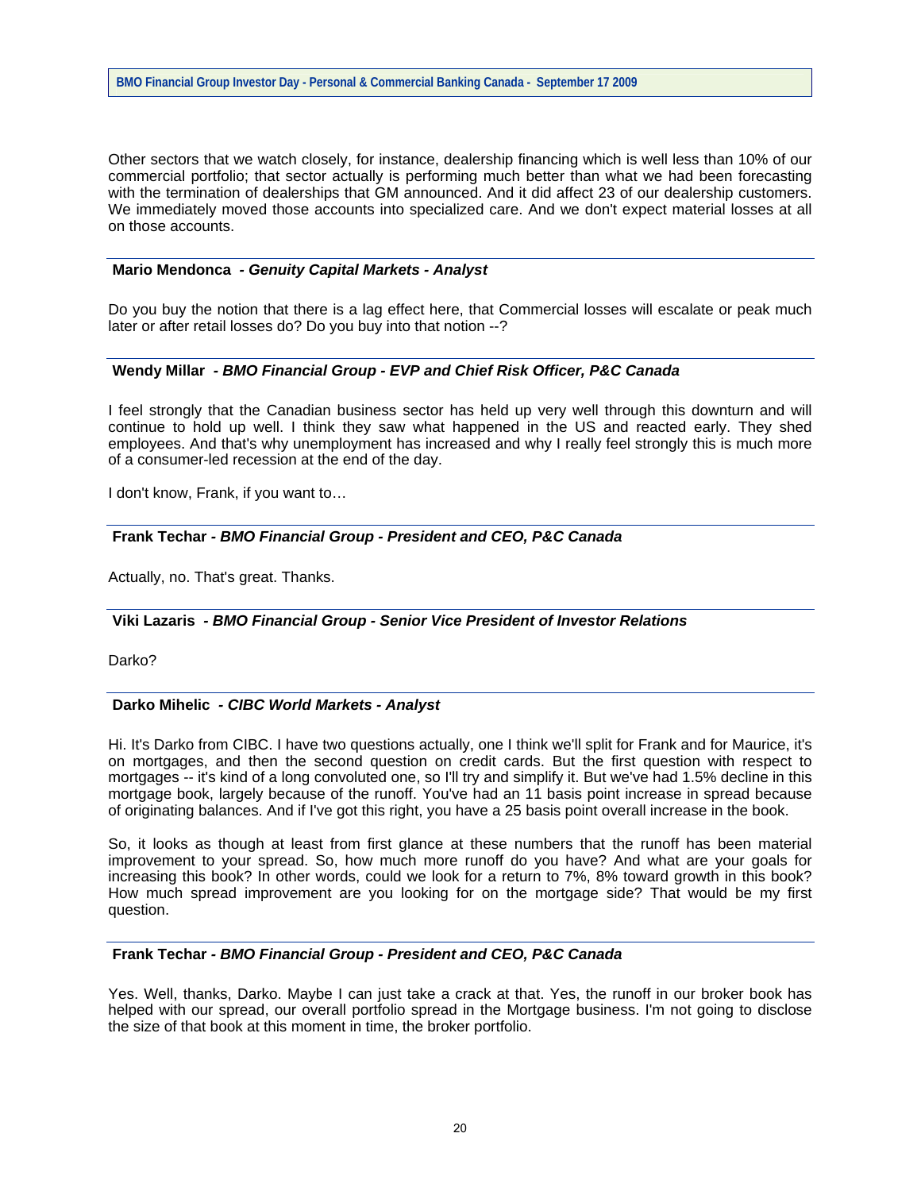Other sectors that we watch closely, for instance, dealership financing which is well less than 10% of our commercial portfolio; that sector actually is performing much better than what we had been forecasting with the termination of dealerships that GM announced. And it did affect 23 of our dealership customers. We immediately moved those accounts into specialized care. And we don't expect material losses at all on those accounts.

## **Mario Mendonca** *- Genuity Capital Markets - Analyst*

Do you buy the notion that there is a lag effect here, that Commercial losses will escalate or peak much later or after retail losses do? Do you buy into that notion --?

## **Wendy Millar** *- BMO Financial Group - EVP and Chief Risk Officer, P&C Canada*

I feel strongly that the Canadian business sector has held up very well through this downturn and will continue to hold up well. I think they saw what happened in the US and reacted early. They shed employees. And that's why unemployment has increased and why I really feel strongly this is much more of a consumer-led recession at the end of the day.

I don't know, Frank, if you want to…

## **Frank Techar** *- BMO Financial Group - President and CEO, P&C Canada*

Actually, no. That's great. Thanks.

### **Viki Lazaris** *- BMO Financial Group - Senior Vice President of Investor Relations*

Darko?

#### **Darko Mihelic** *- CIBC World Markets - Analyst*

Hi. It's Darko from CIBC. I have two questions actually, one I think we'll split for Frank and for Maurice, it's on mortgages, and then the second question on credit cards. But the first question with respect to mortgages -- it's kind of a long convoluted one, so I'll try and simplify it. But we've had 1.5% decline in this mortgage book, largely because of the runoff. You've had an 11 basis point increase in spread because of originating balances. And if I've got this right, you have a 25 basis point overall increase in the book.

So, it looks as though at least from first glance at these numbers that the runoff has been material improvement to your spread. So, how much more runoff do you have? And what are your goals for increasing this book? In other words, could we look for a return to 7%, 8% toward growth in this book? How much spread improvement are you looking for on the mortgage side? That would be my first question.

## **Frank Techar** *- BMO Financial Group - President and CEO, P&C Canada*

Yes. Well, thanks, Darko. Maybe I can just take a crack at that. Yes, the runoff in our broker book has helped with our spread, our overall portfolio spread in the Mortgage business. I'm not going to disclose the size of that book at this moment in time, the broker portfolio.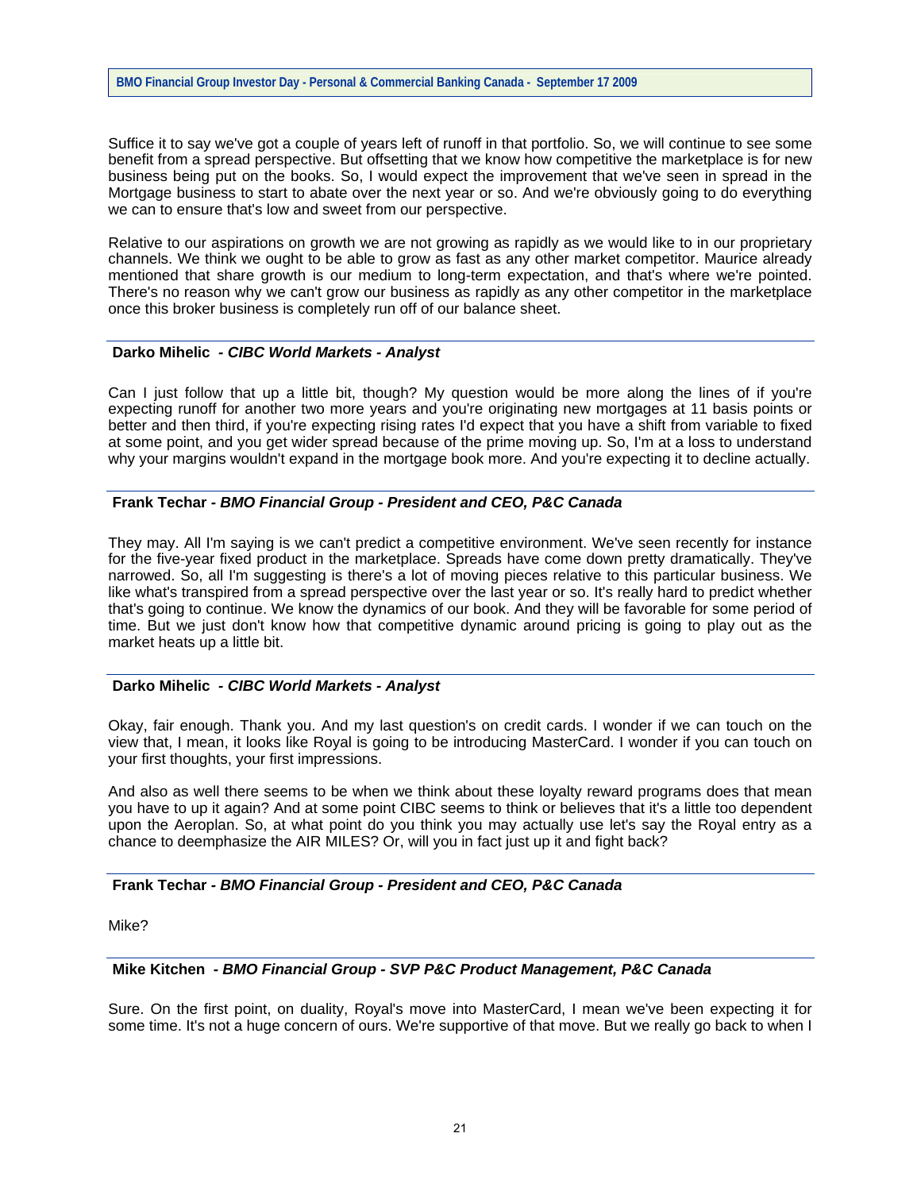Suffice it to say we've got a couple of years left of runoff in that portfolio. So, we will continue to see some benefit from a spread perspective. But offsetting that we know how competitive the marketplace is for new business being put on the books. So, I would expect the improvement that we've seen in spread in the Mortgage business to start to abate over the next year or so. And we're obviously going to do everything we can to ensure that's low and sweet from our perspective.

Relative to our aspirations on growth we are not growing as rapidly as we would like to in our proprietary channels. We think we ought to be able to grow as fast as any other market competitor. Maurice already mentioned that share growth is our medium to long-term expectation, and that's where we're pointed. There's no reason why we can't grow our business as rapidly as any other competitor in the marketplace once this broker business is completely run off of our balance sheet.

## **Darko Mihelic** *- CIBC World Markets - Analyst*

Can I just follow that up a little bit, though? My question would be more along the lines of if you're expecting runoff for another two more years and you're originating new mortgages at 11 basis points or better and then third, if you're expecting rising rates I'd expect that you have a shift from variable to fixed at some point, and you get wider spread because of the prime moving up. So, I'm at a loss to understand why your margins wouldn't expand in the mortgage book more. And you're expecting it to decline actually.

## **Frank Techar** *- BMO Financial Group - President and CEO, P&C Canada*

They may. All I'm saying is we can't predict a competitive environment. We've seen recently for instance for the five-year fixed product in the marketplace. Spreads have come down pretty dramatically. They've narrowed. So, all I'm suggesting is there's a lot of moving pieces relative to this particular business. We like what's transpired from a spread perspective over the last year or so. It's really hard to predict whether that's going to continue. We know the dynamics of our book. And they will be favorable for some period of time. But we just don't know how that competitive dynamic around pricing is going to play out as the market heats up a little bit.

## **Darko Mihelic** *- CIBC World Markets - Analyst*

Okay, fair enough. Thank you. And my last question's on credit cards. I wonder if we can touch on the view that, I mean, it looks like Royal is going to be introducing MasterCard. I wonder if you can touch on your first thoughts, your first impressions.

And also as well there seems to be when we think about these loyalty reward programs does that mean you have to up it again? And at some point CIBC seems to think or believes that it's a little too dependent upon the Aeroplan. So, at what point do you think you may actually use let's say the Royal entry as a chance to deemphasize the AIR MILES? Or, will you in fact just up it and fight back?

## **Frank Techar** *- BMO Financial Group - President and CEO, P&C Canada*

Mike?

### **Mike Kitchen** *- BMO Financial Group - SVP P&C Product Management, P&C Canada*

Sure. On the first point, on duality, Royal's move into MasterCard, I mean we've been expecting it for some time. It's not a huge concern of ours. We're supportive of that move. But we really go back to when I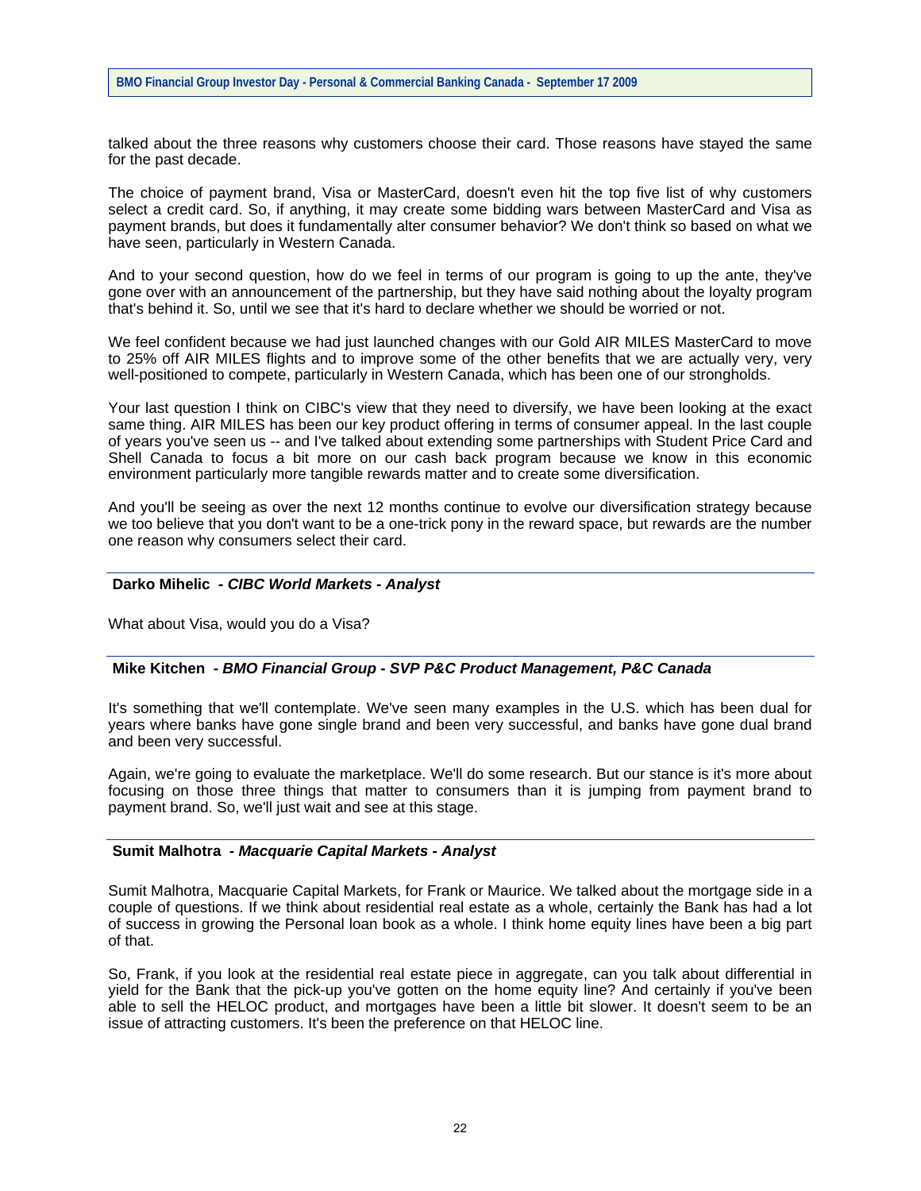talked about the three reasons why customers choose their card. Those reasons have stayed the same for the past decade.

The choice of payment brand, Visa or MasterCard, doesn't even hit the top five list of why customers select a credit card. So, if anything, it may create some bidding wars between MasterCard and Visa as payment brands, but does it fundamentally alter consumer behavior? We don't think so based on what we have seen, particularly in Western Canada.

And to your second question, how do we feel in terms of our program is going to up the ante, they've gone over with an announcement of the partnership, but they have said nothing about the loyalty program that's behind it. So, until we see that it's hard to declare whether we should be worried or not.

We feel confident because we had just launched changes with our Gold AIR MILES MasterCard to move to 25% off AIR MILES flights and to improve some of the other benefits that we are actually very, very well-positioned to compete, particularly in Western Canada, which has been one of our strongholds.

Your last question I think on CIBC's view that they need to diversify, we have been looking at the exact same thing. AIR MILES has been our key product offering in terms of consumer appeal. In the last couple of years you've seen us -- and I've talked about extending some partnerships with Student Price Card and Shell Canada to focus a bit more on our cash back program because we know in this economic environment particularly more tangible rewards matter and to create some diversification.

And you'll be seeing as over the next 12 months continue to evolve our diversification strategy because we too believe that you don't want to be a one-trick pony in the reward space, but rewards are the number one reason why consumers select their card.

#### **Darko Mihelic** *- CIBC World Markets - Analyst*

What about Visa, would you do a Visa?

### **Mike Kitchen** *- BMO Financial Group - SVP P&C Product Management, P&C Canada*

It's something that we'll contemplate. We've seen many examples in the U.S. which has been dual for years where banks have gone single brand and been very successful, and banks have gone dual brand and been very successful.

Again, we're going to evaluate the marketplace. We'll do some research. But our stance is it's more about focusing on those three things that matter to consumers than it is jumping from payment brand to payment brand. So, we'll just wait and see at this stage.

## **Sumit Malhotra** *- Macquarie Capital Markets - Analyst*

Sumit Malhotra, Macquarie Capital Markets, for Frank or Maurice. We talked about the mortgage side in a couple of questions. If we think about residential real estate as a whole, certainly the Bank has had a lot of success in growing the Personal loan book as a whole. I think home equity lines have been a big part of that.

So, Frank, if you look at the residential real estate piece in aggregate, can you talk about differential in yield for the Bank that the pick-up you've gotten on the home equity line? And certainly if you've been able to sell the HELOC product, and mortgages have been a little bit slower. It doesn't seem to be an issue of attracting customers. It's been the preference on that HELOC line.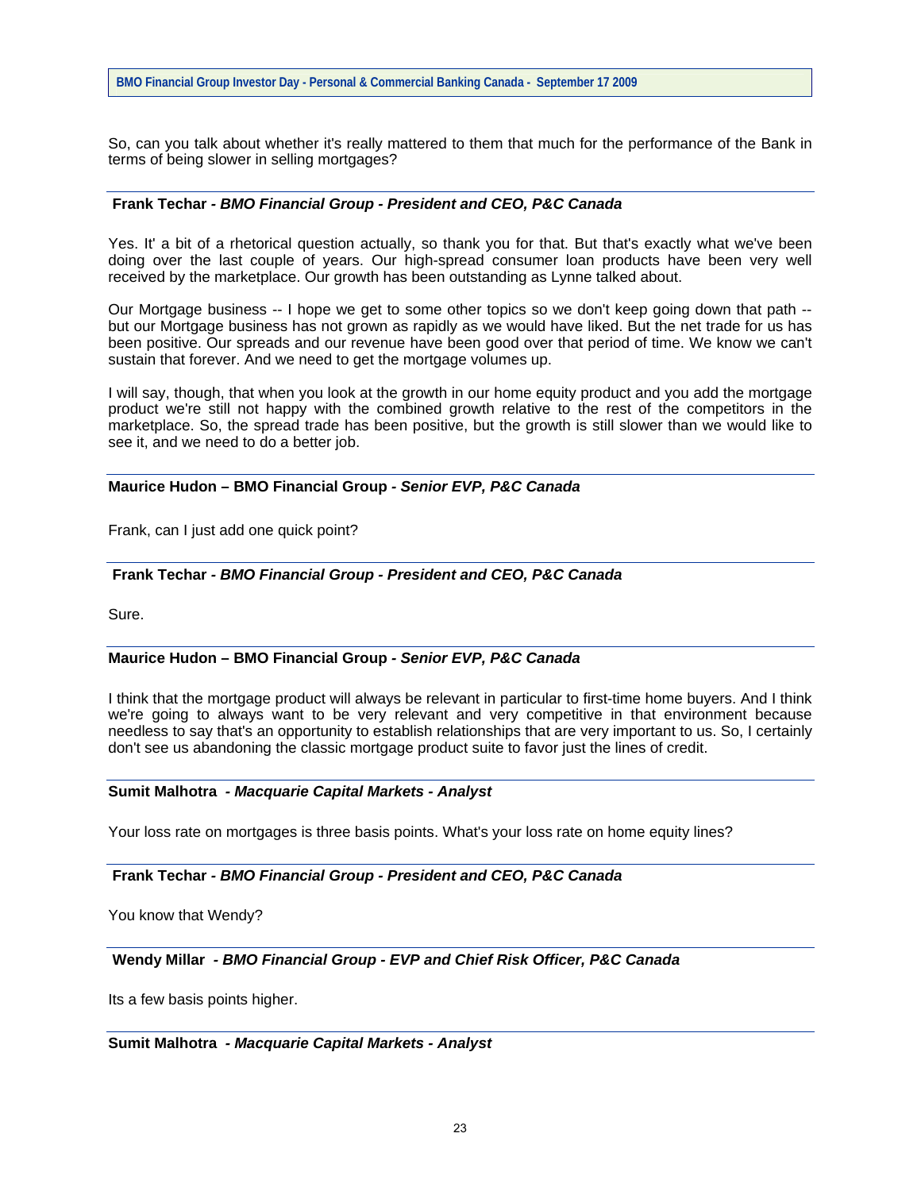So, can you talk about whether it's really mattered to them that much for the performance of the Bank in terms of being slower in selling mortgages?

## **Frank Techar** *- BMO Financial Group - President and CEO, P&C Canada*

Yes. It' a bit of a rhetorical question actually, so thank you for that. But that's exactly what we've been doing over the last couple of years. Our high-spread consumer loan products have been very well received by the marketplace. Our growth has been outstanding as Lynne talked about.

Our Mortgage business -- I hope we get to some other topics so we don't keep going down that path - but our Mortgage business has not grown as rapidly as we would have liked. But the net trade for us has been positive. Our spreads and our revenue have been good over that period of time. We know we can't sustain that forever. And we need to get the mortgage volumes up.

I will say, though, that when you look at the growth in our home equity product and you add the mortgage product we're still not happy with the combined growth relative to the rest of the competitors in the marketplace. So, the spread trade has been positive, but the growth is still slower than we would like to see it, and we need to do a better job.

## **Maurice Hudon – BMO Financial Group** *- Senior EVP, P&C Canada*

Frank, can I just add one quick point?

## **Frank Techar** *- BMO Financial Group - President and CEO, P&C Canada*

Sure.

## **Maurice Hudon – BMO Financial Group** *- Senior EVP, P&C Canada*

I think that the mortgage product will always be relevant in particular to first-time home buyers. And I think we're going to always want to be very relevant and very competitive in that environment because needless to say that's an opportunity to establish relationships that are very important to us. So, I certainly don't see us abandoning the classic mortgage product suite to favor just the lines of credit.

#### **Sumit Malhotra** *- Macquarie Capital Markets - Analyst*

Your loss rate on mortgages is three basis points. What's your loss rate on home equity lines?

## **Frank Techar** *- BMO Financial Group - President and CEO, P&C Canada*

You know that Wendy?

# **Wendy Millar** *- BMO Financial Group - EVP and Chief Risk Officer, P&C Canada*

Its a few basis points higher.

# **Sumit Malhotra** *- Macquarie Capital Markets - Analyst*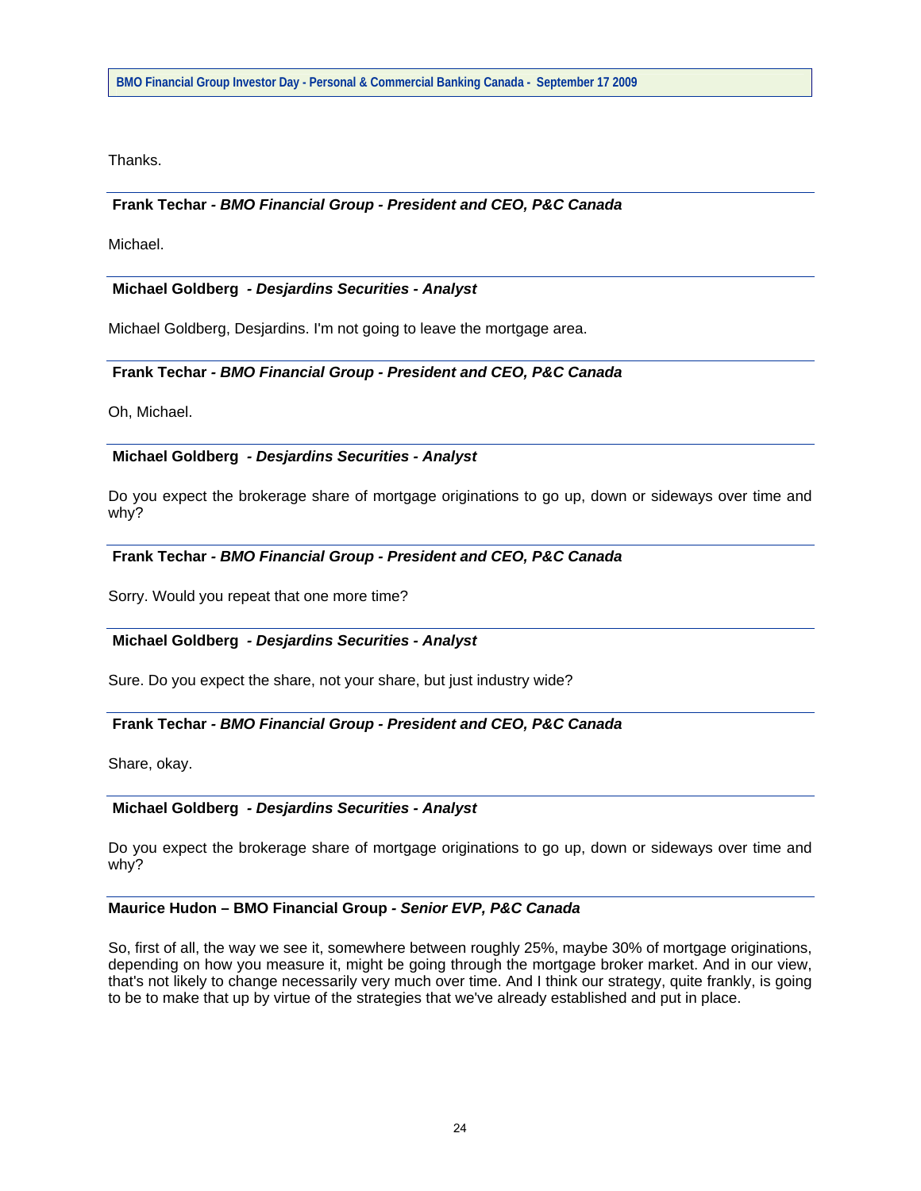Thanks.

# **Frank Techar** *- BMO Financial Group - President and CEO, P&C Canada*

Michael.

## **Michael Goldberg** *- Desjardins Securities - Analyst*

Michael Goldberg, Desjardins. I'm not going to leave the mortgage area.

## **Frank Techar** *- BMO Financial Group - President and CEO, P&C Canada*

Oh, Michael.

## **Michael Goldberg** *- Desjardins Securities - Analyst*

Do you expect the brokerage share of mortgage originations to go up, down or sideways over time and why?

## **Frank Techar** *- BMO Financial Group - President and CEO, P&C Canada*

Sorry. Would you repeat that one more time?

#### **Michael Goldberg** *- Desjardins Securities - Analyst*

Sure. Do you expect the share, not your share, but just industry wide?

## **Frank Techar** *- BMO Financial Group - President and CEO, P&C Canada*

Share, okay.

#### **Michael Goldberg** *- Desjardins Securities - Analyst*

Do you expect the brokerage share of mortgage originations to go up, down or sideways over time and why?

### **Maurice Hudon – BMO Financial Group** *- Senior EVP, P&C Canada*

So, first of all, the way we see it, somewhere between roughly 25%, maybe 30% of mortgage originations, depending on how you measure it, might be going through the mortgage broker market. And in our view, that's not likely to change necessarily very much over time. And I think our strategy, quite frankly, is going to be to make that up by virtue of the strategies that we've already established and put in place.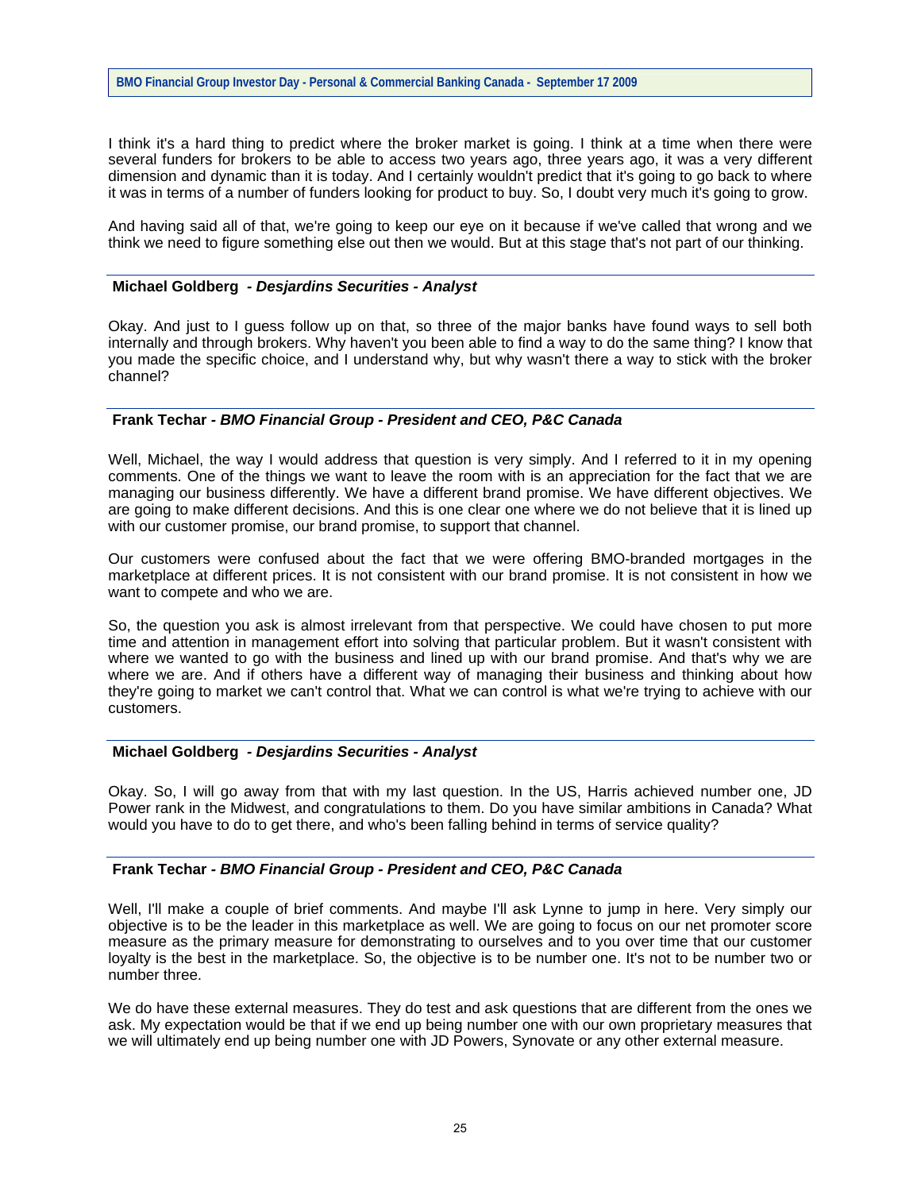I think it's a hard thing to predict where the broker market is going. I think at a time when there were several funders for brokers to be able to access two years ago, three years ago, it was a very different dimension and dynamic than it is today. And I certainly wouldn't predict that it's going to go back to where it was in terms of a number of funders looking for product to buy. So, I doubt very much it's going to grow.

And having said all of that, we're going to keep our eye on it because if we've called that wrong and we think we need to figure something else out then we would. But at this stage that's not part of our thinking.

### **Michael Goldberg** *- Desjardins Securities - Analyst*

Okay. And just to I guess follow up on that, so three of the major banks have found ways to sell both internally and through brokers. Why haven't you been able to find a way to do the same thing? I know that you made the specific choice, and I understand why, but why wasn't there a way to stick with the broker channel?

## **Frank Techar** *- BMO Financial Group - President and CEO, P&C Canada*

Well, Michael, the way I would address that question is very simply. And I referred to it in my opening comments. One of the things we want to leave the room with is an appreciation for the fact that we are managing our business differently. We have a different brand promise. We have different objectives. We are going to make different decisions. And this is one clear one where we do not believe that it is lined up with our customer promise, our brand promise, to support that channel.

Our customers were confused about the fact that we were offering BMO-branded mortgages in the marketplace at different prices. It is not consistent with our brand promise. It is not consistent in how we want to compete and who we are.

So, the question you ask is almost irrelevant from that perspective. We could have chosen to put more time and attention in management effort into solving that particular problem. But it wasn't consistent with where we wanted to go with the business and lined up with our brand promise. And that's why we are where we are. And if others have a different way of managing their business and thinking about how they're going to market we can't control that. What we can control is what we're trying to achieve with our customers.

# **Michael Goldberg** *- Desjardins Securities - Analyst*

Okay. So, I will go away from that with my last question. In the US, Harris achieved number one, JD Power rank in the Midwest, and congratulations to them. Do you have similar ambitions in Canada? What would you have to do to get there, and who's been falling behind in terms of service quality?

## **Frank Techar** *- BMO Financial Group - President and CEO, P&C Canada*

Well, I'll make a couple of brief comments. And maybe I'll ask Lynne to jump in here. Very simply our objective is to be the leader in this marketplace as well. We are going to focus on our net promoter score measure as the primary measure for demonstrating to ourselves and to you over time that our customer loyalty is the best in the marketplace. So, the objective is to be number one. It's not to be number two or number three.

We do have these external measures. They do test and ask questions that are different from the ones we ask. My expectation would be that if we end up being number one with our own proprietary measures that we will ultimately end up being number one with JD Powers, Synovate or any other external measure.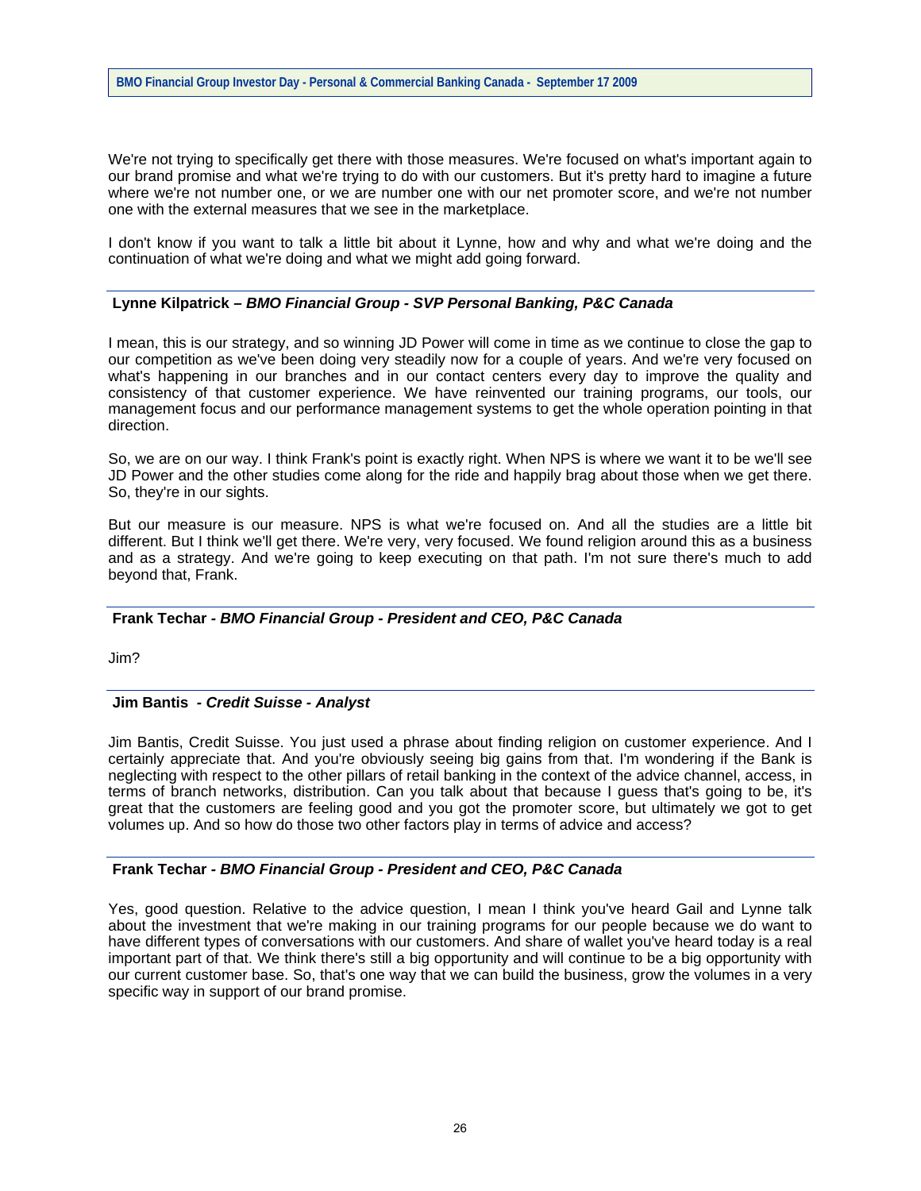We're not trying to specifically get there with those measures. We're focused on what's important again to our brand promise and what we're trying to do with our customers. But it's pretty hard to imagine a future where we're not number one, or we are number one with our net promoter score, and we're not number one with the external measures that we see in the marketplace.

I don't know if you want to talk a little bit about it Lynne, how and why and what we're doing and the continuation of what we're doing and what we might add going forward.

## **Lynne Kilpatrick** *– BMO Financial Group - SVP Personal Banking, P&C Canada*

I mean, this is our strategy, and so winning JD Power will come in time as we continue to close the gap to our competition as we've been doing very steadily now for a couple of years. And we're very focused on what's happening in our branches and in our contact centers every day to improve the quality and consistency of that customer experience. We have reinvented our training programs, our tools, our management focus and our performance management systems to get the whole operation pointing in that direction.

So, we are on our way. I think Frank's point is exactly right. When NPS is where we want it to be we'll see JD Power and the other studies come along for the ride and happily brag about those when we get there. So, they're in our sights.

But our measure is our measure. NPS is what we're focused on. And all the studies are a little bit different. But I think we'll get there. We're very, very focused. We found religion around this as a business and as a strategy. And we're going to keep executing on that path. I'm not sure there's much to add beyond that, Frank.

#### **Frank Techar** *- BMO Financial Group - President and CEO, P&C Canada*

Jim?

### **Jim Bantis** *- Credit Suisse - Analyst*

Jim Bantis, Credit Suisse. You just used a phrase about finding religion on customer experience. And I certainly appreciate that. And you're obviously seeing big gains from that. I'm wondering if the Bank is neglecting with respect to the other pillars of retail banking in the context of the advice channel, access, in terms of branch networks, distribution. Can you talk about that because I guess that's going to be, it's great that the customers are feeling good and you got the promoter score, but ultimately we got to get volumes up. And so how do those two other factors play in terms of advice and access?

## **Frank Techar** *- BMO Financial Group - President and CEO, P&C Canada*

Yes, good question. Relative to the advice question, I mean I think you've heard Gail and Lynne talk about the investment that we're making in our training programs for our people because we do want to have different types of conversations with our customers. And share of wallet you've heard today is a real important part of that. We think there's still a big opportunity and will continue to be a big opportunity with our current customer base. So, that's one way that we can build the business, grow the volumes in a very specific way in support of our brand promise.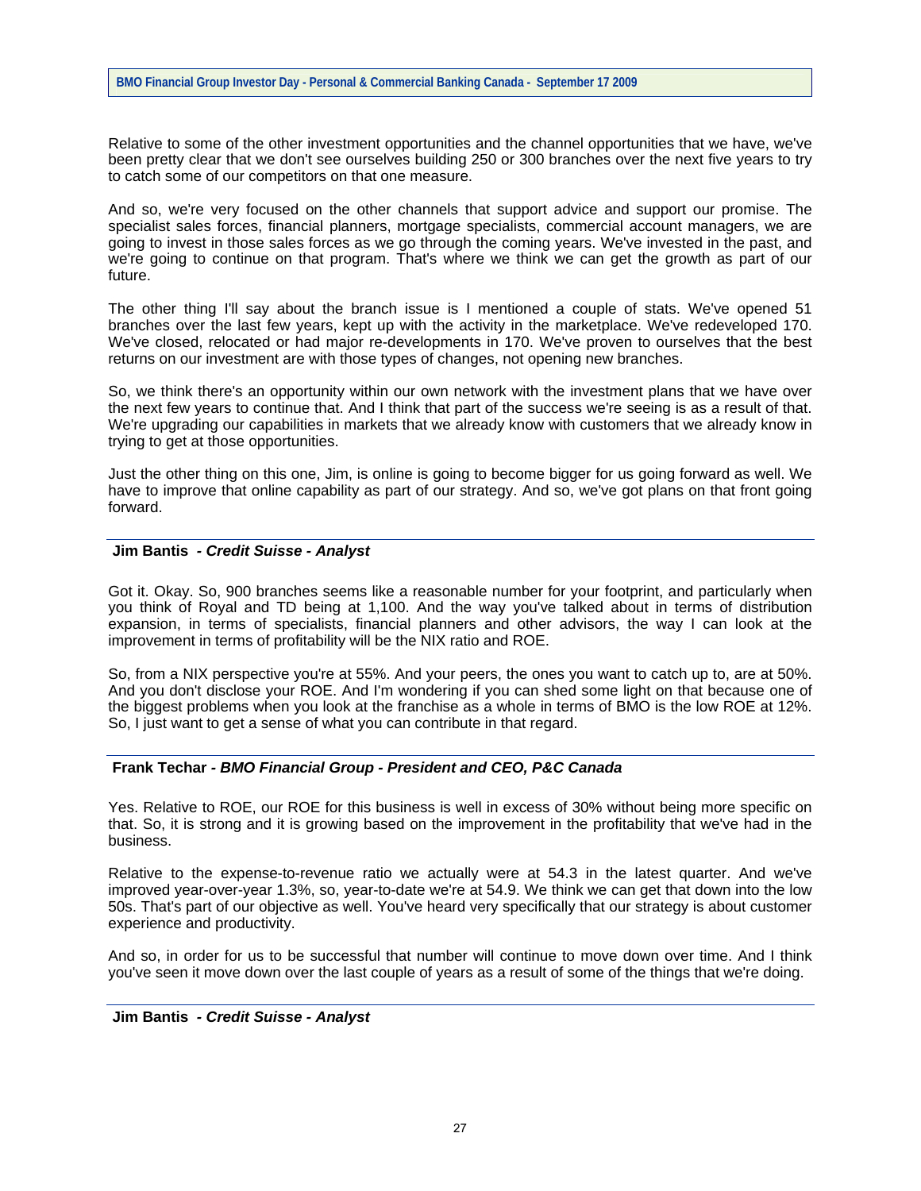Relative to some of the other investment opportunities and the channel opportunities that we have, we've been pretty clear that we don't see ourselves building 250 or 300 branches over the next five years to try to catch some of our competitors on that one measure.

And so, we're very focused on the other channels that support advice and support our promise. The specialist sales forces, financial planners, mortgage specialists, commercial account managers, we are going to invest in those sales forces as we go through the coming years. We've invested in the past, and we're going to continue on that program. That's where we think we can get the growth as part of our future.

The other thing I'll say about the branch issue is I mentioned a couple of stats. We've opened 51 branches over the last few years, kept up with the activity in the marketplace. We've redeveloped 170. We've closed, relocated or had major re-developments in 170. We've proven to ourselves that the best returns on our investment are with those types of changes, not opening new branches.

So, we think there's an opportunity within our own network with the investment plans that we have over the next few years to continue that. And I think that part of the success we're seeing is as a result of that. We're upgrading our capabilities in markets that we already know with customers that we already know in trying to get at those opportunities.

Just the other thing on this one, Jim, is online is going to become bigger for us going forward as well. We have to improve that online capability as part of our strategy. And so, we've got plans on that front going forward.

## **Jim Bantis** *- Credit Suisse - Analyst*

Got it. Okay. So, 900 branches seems like a reasonable number for your footprint, and particularly when you think of Royal and TD being at 1,100. And the way you've talked about in terms of distribution expansion, in terms of specialists, financial planners and other advisors, the way I can look at the improvement in terms of profitability will be the NIX ratio and ROE.

So, from a NIX perspective you're at 55%. And your peers, the ones you want to catch up to, are at 50%. And you don't disclose your ROE. And I'm wondering if you can shed some light on that because one of the biggest problems when you look at the franchise as a whole in terms of BMO is the low ROE at 12%. So, I just want to get a sense of what you can contribute in that regard.

## **Frank Techar** *- BMO Financial Group - President and CEO, P&C Canada*

Yes. Relative to ROE, our ROE for this business is well in excess of 30% without being more specific on that. So, it is strong and it is growing based on the improvement in the profitability that we've had in the business.

Relative to the expense-to-revenue ratio we actually were at 54.3 in the latest quarter. And we've improved year-over-year 1.3%, so, year-to-date we're at 54.9. We think we can get that down into the low 50s. That's part of our objective as well. You've heard very specifically that our strategy is about customer experience and productivity.

And so, in order for us to be successful that number will continue to move down over time. And I think you've seen it move down over the last couple of years as a result of some of the things that we're doing.

### **Jim Bantis** *- Credit Suisse - Analyst*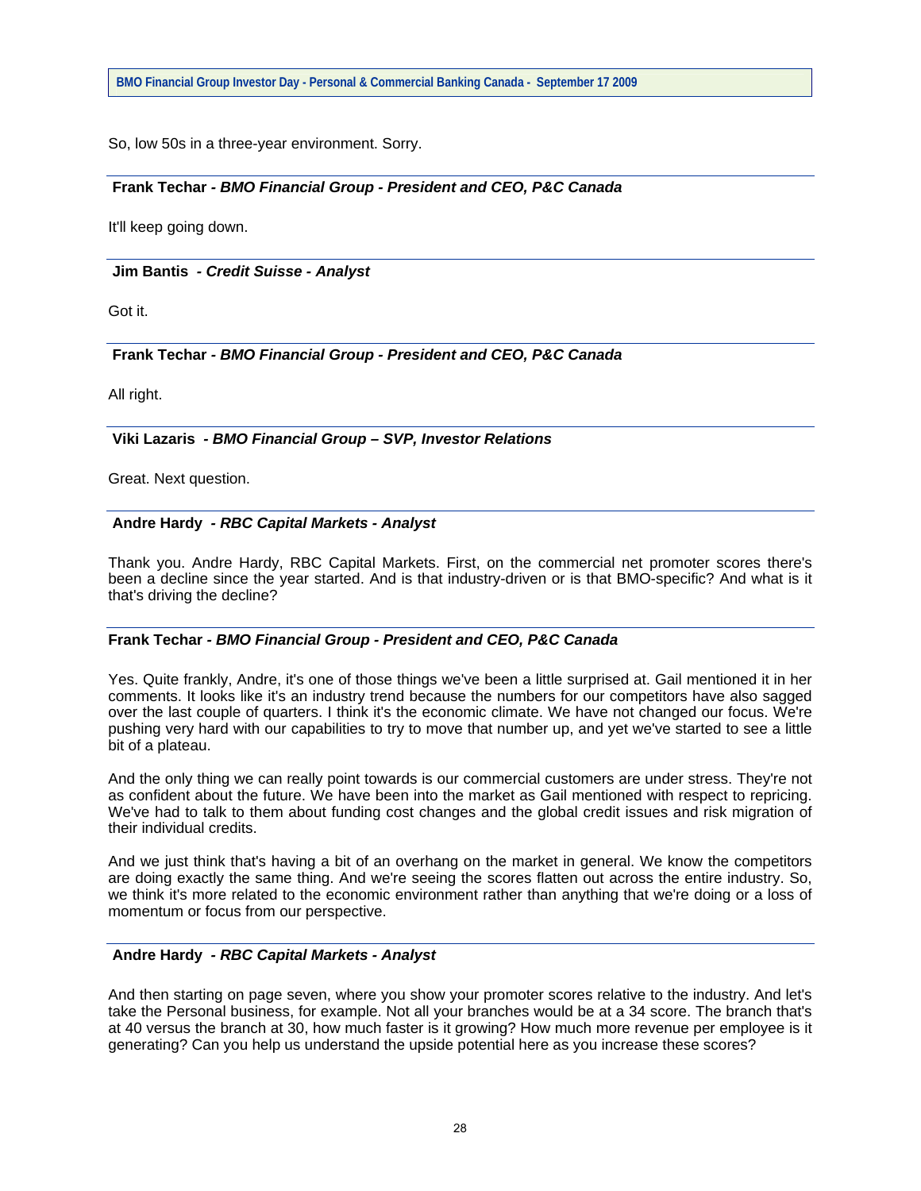So, low 50s in a three-year environment. Sorry.

## **Frank Techar** *- BMO Financial Group - President and CEO, P&C Canada*

It'll keep going down.

### **Jim Bantis** *- Credit Suisse - Analyst*

Got it.

## **Frank Techar** *- BMO Financial Group - President and CEO, P&C Canada*

All right.

## **Viki Lazaris** *- BMO Financial Group – SVP, Investor Relations*

Great. Next question.

## **Andre Hardy** *- RBC Capital Markets - Analyst*

Thank you. Andre Hardy, RBC Capital Markets. First, on the commercial net promoter scores there's been a decline since the year started. And is that industry-driven or is that BMO-specific? And what is it that's driving the decline?

#### **Frank Techar** *- BMO Financial Group - President and CEO, P&C Canada*

Yes. Quite frankly, Andre, it's one of those things we've been a little surprised at. Gail mentioned it in her comments. It looks like it's an industry trend because the numbers for our competitors have also sagged over the last couple of quarters. I think it's the economic climate. We have not changed our focus. We're pushing very hard with our capabilities to try to move that number up, and yet we've started to see a little bit of a plateau.

And the only thing we can really point towards is our commercial customers are under stress. They're not as confident about the future. We have been into the market as Gail mentioned with respect to repricing. We've had to talk to them about funding cost changes and the global credit issues and risk migration of their individual credits.

And we just think that's having a bit of an overhang on the market in general. We know the competitors are doing exactly the same thing. And we're seeing the scores flatten out across the entire industry. So, we think it's more related to the economic environment rather than anything that we're doing or a loss of momentum or focus from our perspective.

## **Andre Hardy** *- RBC Capital Markets - Analyst*

And then starting on page seven, where you show your promoter scores relative to the industry. And let's take the Personal business, for example. Not all your branches would be at a 34 score. The branch that's at 40 versus the branch at 30, how much faster is it growing? How much more revenue per employee is it generating? Can you help us understand the upside potential here as you increase these scores?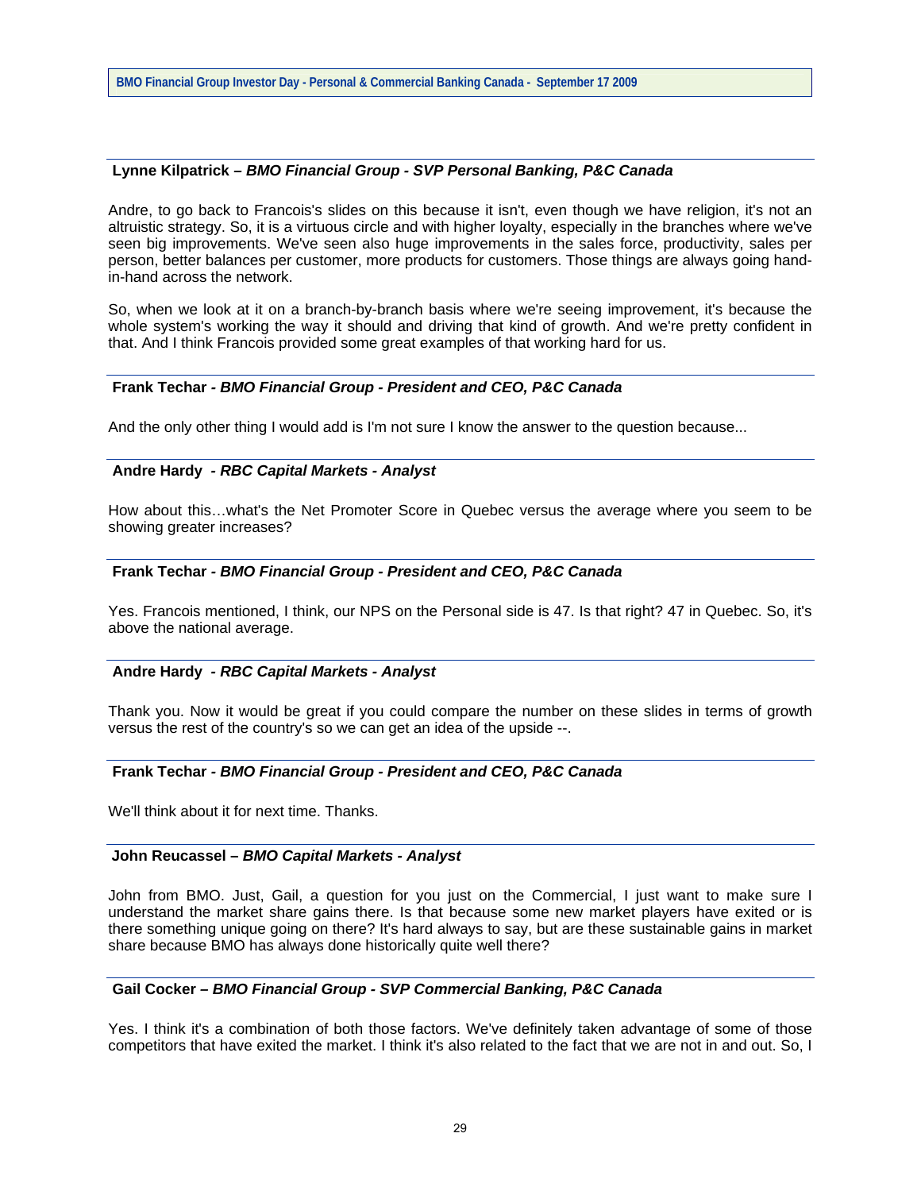### **Lynne Kilpatrick** *– BMO Financial Group - SVP Personal Banking, P&C Canada*

Andre, to go back to Francois's slides on this because it isn't, even though we have religion, it's not an altruistic strategy. So, it is a virtuous circle and with higher loyalty, especially in the branches where we've seen big improvements. We've seen also huge improvements in the sales force, productivity, sales per person, better balances per customer, more products for customers. Those things are always going handin-hand across the network.

So, when we look at it on a branch-by-branch basis where we're seeing improvement, it's because the whole system's working the way it should and driving that kind of growth. And we're pretty confident in that. And I think Francois provided some great examples of that working hard for us.

#### **Frank Techar** *- BMO Financial Group - President and CEO, P&C Canada*

And the only other thing I would add is I'm not sure I know the answer to the question because...

## **Andre Hardy** *- RBC Capital Markets - Analyst*

How about this…what's the Net Promoter Score in Quebec versus the average where you seem to be showing greater increases?

## **Frank Techar** *- BMO Financial Group - President and CEO, P&C Canada*

Yes. Francois mentioned, I think, our NPS on the Personal side is 47. Is that right? 47 in Quebec. So, it's above the national average.

#### **Andre Hardy** *- RBC Capital Markets - Analyst*

Thank you. Now it would be great if you could compare the number on these slides in terms of growth versus the rest of the country's so we can get an idea of the upside --.

#### **Frank Techar** *- BMO Financial Group - President and CEO, P&C Canada*

We'll think about it for next time. Thanks.

### **John Reucassel –** *BMO Capital Markets - Analyst*

John from BMO. Just, Gail, a question for you just on the Commercial, I just want to make sure I understand the market share gains there. Is that because some new market players have exited or is there something unique going on there? It's hard always to say, but are these sustainable gains in market share because BMO has always done historically quite well there?

## **Gail Cocker** *– BMO Financial Group - SVP Commercial Banking, P&C Canada*

Yes. I think it's a combination of both those factors. We've definitely taken advantage of some of those competitors that have exited the market. I think it's also related to the fact that we are not in and out. So, I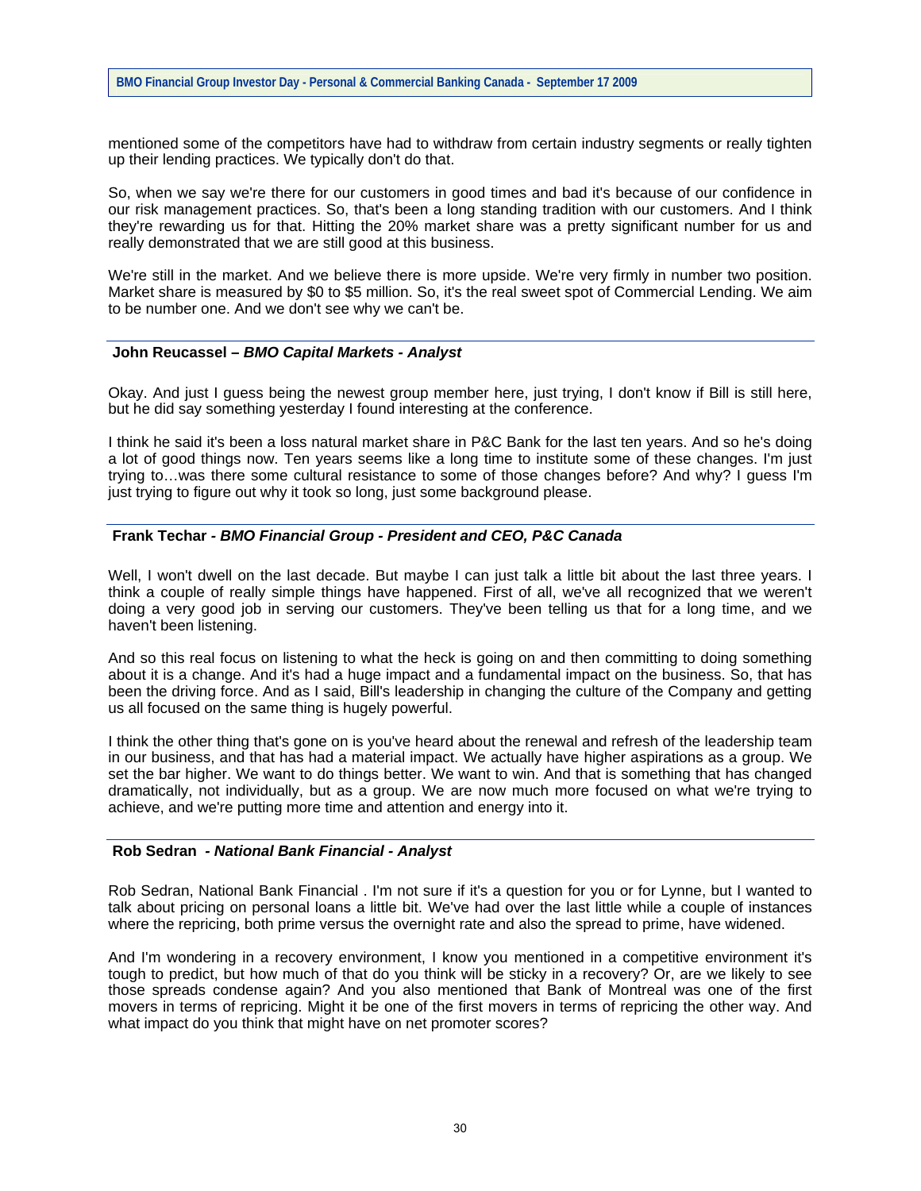mentioned some of the competitors have had to withdraw from certain industry segments or really tighten up their lending practices. We typically don't do that.

So, when we say we're there for our customers in good times and bad it's because of our confidence in our risk management practices. So, that's been a long standing tradition with our customers. And I think they're rewarding us for that. Hitting the 20% market share was a pretty significant number for us and really demonstrated that we are still good at this business.

We're still in the market. And we believe there is more upside. We're very firmly in number two position. Market share is measured by \$0 to \$5 million. So, it's the real sweet spot of Commercial Lending. We aim to be number one. And we don't see why we can't be.

#### **John Reucassel –** *BMO Capital Markets - Analyst*

Okay. And just I guess being the newest group member here, just trying, I don't know if Bill is still here, but he did say something yesterday I found interesting at the conference.

I think he said it's been a loss natural market share in P&C Bank for the last ten years. And so he's doing a lot of good things now. Ten years seems like a long time to institute some of these changes. I'm just trying to…was there some cultural resistance to some of those changes before? And why? I guess I'm just trying to figure out why it took so long, just some background please.

## **Frank Techar** *- BMO Financial Group - President and CEO, P&C Canada*

Well, I won't dwell on the last decade. But maybe I can just talk a little bit about the last three years. I think a couple of really simple things have happened. First of all, we've all recognized that we weren't doing a very good job in serving our customers. They've been telling us that for a long time, and we haven't been listening.

And so this real focus on listening to what the heck is going on and then committing to doing something about it is a change. And it's had a huge impact and a fundamental impact on the business. So, that has been the driving force. And as I said, Bill's leadership in changing the culture of the Company and getting us all focused on the same thing is hugely powerful.

I think the other thing that's gone on is you've heard about the renewal and refresh of the leadership team in our business, and that has had a material impact. We actually have higher aspirations as a group. We set the bar higher. We want to do things better. We want to win. And that is something that has changed dramatically, not individually, but as a group. We are now much more focused on what we're trying to achieve, and we're putting more time and attention and energy into it.

### **Rob Sedran** *- National Bank Financial - Analyst*

Rob Sedran, National Bank Financial . I'm not sure if it's a question for you or for Lynne, but I wanted to talk about pricing on personal loans a little bit. We've had over the last little while a couple of instances where the repricing, both prime versus the overnight rate and also the spread to prime, have widened.

And I'm wondering in a recovery environment, I know you mentioned in a competitive environment it's tough to predict, but how much of that do you think will be sticky in a recovery? Or, are we likely to see those spreads condense again? And you also mentioned that Bank of Montreal was one of the first movers in terms of repricing. Might it be one of the first movers in terms of repricing the other way. And what impact do you think that might have on net promoter scores?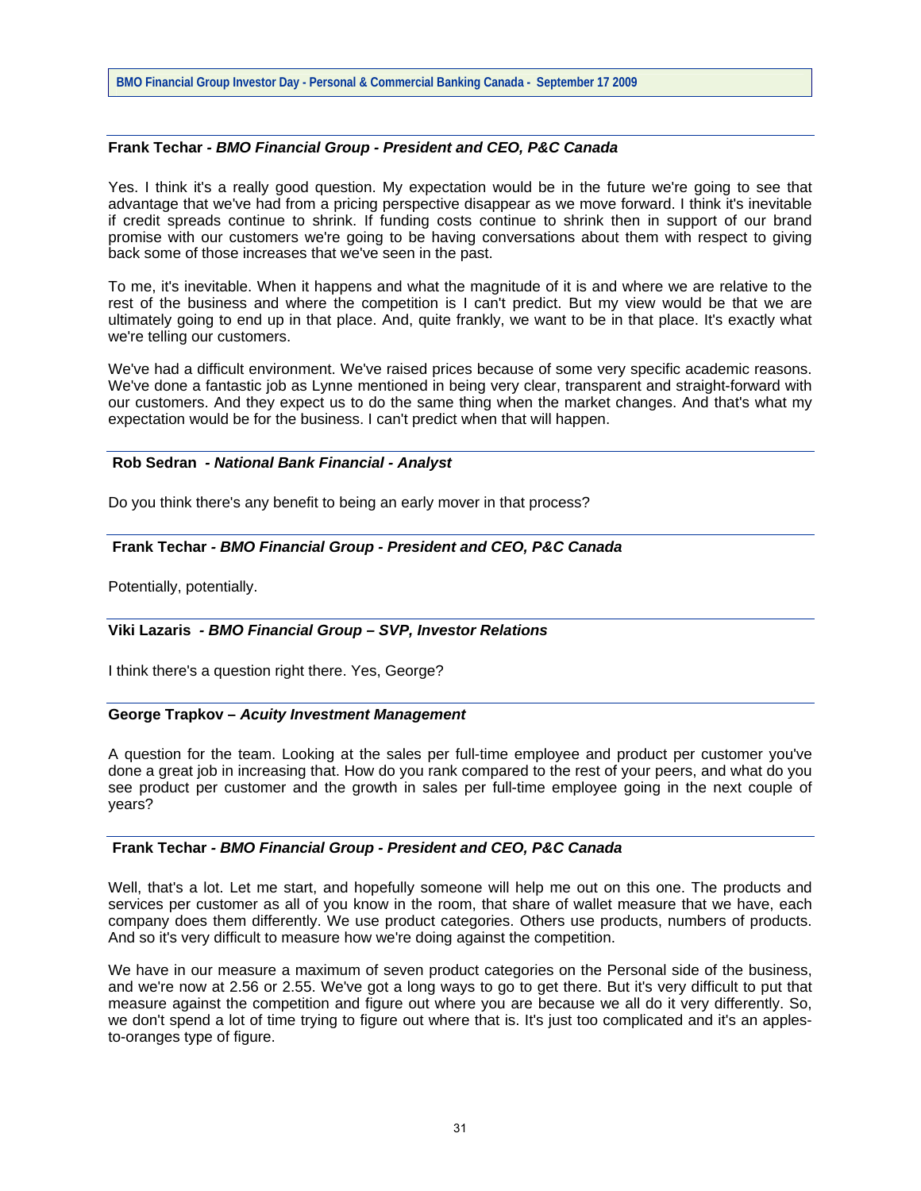## **Frank Techar** *- BMO Financial Group - President and CEO, P&C Canada*

Yes. I think it's a really good question. My expectation would be in the future we're going to see that advantage that we've had from a pricing perspective disappear as we move forward. I think it's inevitable if credit spreads continue to shrink. If funding costs continue to shrink then in support of our brand promise with our customers we're going to be having conversations about them with respect to giving back some of those increases that we've seen in the past.

To me, it's inevitable. When it happens and what the magnitude of it is and where we are relative to the rest of the business and where the competition is I can't predict. But my view would be that we are ultimately going to end up in that place. And, quite frankly, we want to be in that place. It's exactly what we're telling our customers.

We've had a difficult environment. We've raised prices because of some very specific academic reasons. We've done a fantastic job as Lynne mentioned in being very clear, transparent and straight-forward with our customers. And they expect us to do the same thing when the market changes. And that's what my expectation would be for the business. I can't predict when that will happen.

## **Rob Sedran** *- National Bank Financial - Analyst*

Do you think there's any benefit to being an early mover in that process?

## **Frank Techar** *- BMO Financial Group - President and CEO, P&C Canada*

Potentially, potentially.

## **Viki Lazaris** *- BMO Financial Group – SVP, Investor Relations*

I think there's a question right there. Yes, George?

#### **George Trapkov –** *Acuity Investment Management*

A question for the team. Looking at the sales per full-time employee and product per customer you've done a great job in increasing that. How do you rank compared to the rest of your peers, and what do you see product per customer and the growth in sales per full-time employee going in the next couple of years?

## **Frank Techar** *- BMO Financial Group - President and CEO, P&C Canada*

Well, that's a lot. Let me start, and hopefully someone will help me out on this one. The products and services per customer as all of you know in the room, that share of wallet measure that we have, each company does them differently. We use product categories. Others use products, numbers of products. And so it's very difficult to measure how we're doing against the competition.

We have in our measure a maximum of seven product categories on the Personal side of the business, and we're now at 2.56 or 2.55. We've got a long ways to go to get there. But it's very difficult to put that measure against the competition and figure out where you are because we all do it very differently. So, we don't spend a lot of time trying to figure out where that is. It's just too complicated and it's an applesto-oranges type of figure.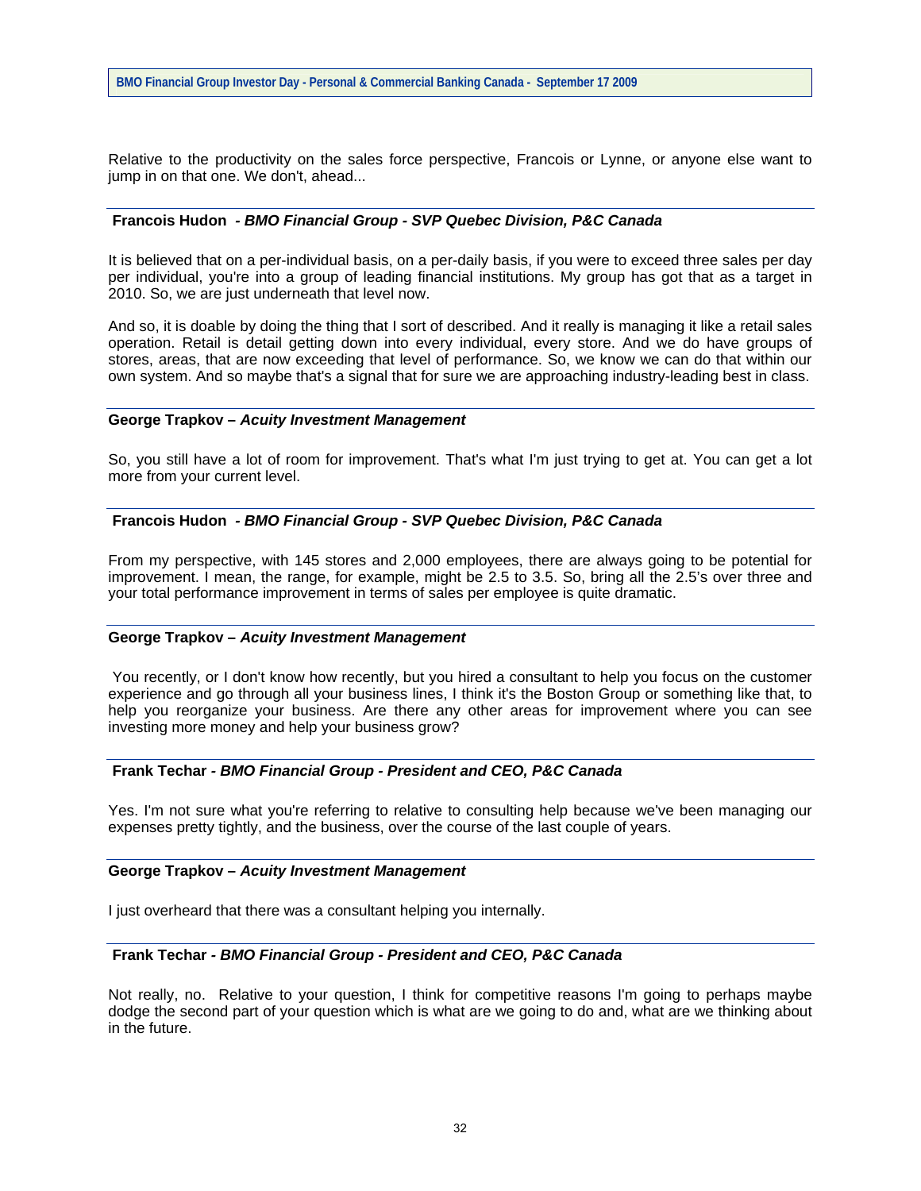Relative to the productivity on the sales force perspective, Francois or Lynne, or anyone else want to jump in on that one. We don't, ahead...

## **Francois Hudon** *- BMO Financial Group - SVP Quebec Division, P&C Canada*

It is believed that on a per-individual basis, on a per-daily basis, if you were to exceed three sales per day per individual, you're into a group of leading financial institutions. My group has got that as a target in 2010. So, we are just underneath that level now.

And so, it is doable by doing the thing that I sort of described. And it really is managing it like a retail sales operation. Retail is detail getting down into every individual, every store. And we do have groups of stores, areas, that are now exceeding that level of performance. So, we know we can do that within our own system. And so maybe that's a signal that for sure we are approaching industry-leading best in class.

#### **George Trapkov –** *Acuity Investment Management*

So, you still have a lot of room for improvement. That's what I'm just trying to get at. You can get a lot more from your current level.

### **Francois Hudon** *- BMO Financial Group - SVP Quebec Division, P&C Canada*

From my perspective, with 145 stores and 2,000 employees, there are always going to be potential for improvement. I mean, the range, for example, might be 2.5 to 3.5. So, bring all the 2.5's over three and your total performance improvement in terms of sales per employee is quite dramatic.

#### **George Trapkov –** *Acuity Investment Management*

 You recently, or I don't know how recently, but you hired a consultant to help you focus on the customer experience and go through all your business lines, I think it's the Boston Group or something like that, to help you reorganize your business. Are there any other areas for improvement where you can see investing more money and help your business grow?

#### **Frank Techar** *- BMO Financial Group - President and CEO, P&C Canada*

Yes. I'm not sure what you're referring to relative to consulting help because we've been managing our expenses pretty tightly, and the business, over the course of the last couple of years.

#### **George Trapkov –** *Acuity Investment Management*

I just overheard that there was a consultant helping you internally.

## **Frank Techar** *- BMO Financial Group - President and CEO, P&C Canada*

Not really, no. Relative to your question, I think for competitive reasons I'm going to perhaps maybe dodge the second part of your question which is what are we going to do and, what are we thinking about in the future.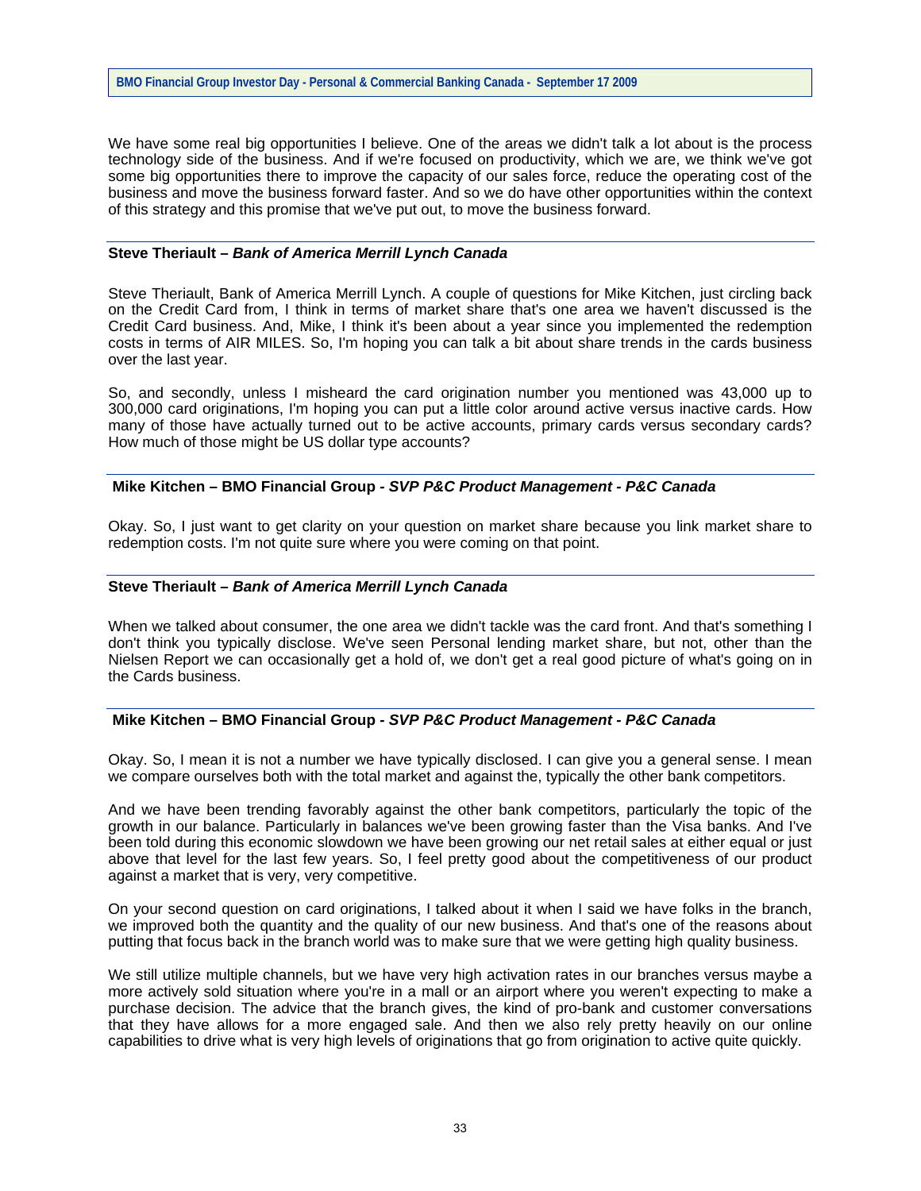We have some real big opportunities I believe. One of the areas we didn't talk a lot about is the process technology side of the business. And if we're focused on productivity, which we are, we think we've got some big opportunities there to improve the capacity of our sales force, reduce the operating cost of the business and move the business forward faster. And so we do have other opportunities within the context of this strategy and this promise that we've put out, to move the business forward.

## **Steve Theriault –** *Bank of America Merrill Lynch Canada*

Steve Theriault, Bank of America Merrill Lynch. A couple of questions for Mike Kitchen, just circling back on the Credit Card from, I think in terms of market share that's one area we haven't discussed is the Credit Card business. And, Mike, I think it's been about a year since you implemented the redemption costs in terms of AIR MILES. So, I'm hoping you can talk a bit about share trends in the cards business over the last year.

So, and secondly, unless I misheard the card origination number you mentioned was 43,000 up to 300,000 card originations, I'm hoping you can put a little color around active versus inactive cards. How many of those have actually turned out to be active accounts, primary cards versus secondary cards? How much of those might be US dollar type accounts?

### **Mike Kitchen – BMO Financial Group** *- SVP P&C Product Management - P&C Canada*

Okay. So, I just want to get clarity on your question on market share because you link market share to redemption costs. I'm not quite sure where you were coming on that point.

#### **Steve Theriault –** *Bank of America Merrill Lynch Canada*

When we talked about consumer, the one area we didn't tackle was the card front. And that's something I don't think you typically disclose. We've seen Personal lending market share, but not, other than the Nielsen Report we can occasionally get a hold of, we don't get a real good picture of what's going on in the Cards business.

# **Mike Kitchen – BMO Financial Group** *- SVP P&C Product Management - P&C Canada*

Okay. So, I mean it is not a number we have typically disclosed. I can give you a general sense. I mean we compare ourselves both with the total market and against the, typically the other bank competitors.

And we have been trending favorably against the other bank competitors, particularly the topic of the growth in our balance. Particularly in balances we've been growing faster than the Visa banks. And I've been told during this economic slowdown we have been growing our net retail sales at either equal or just above that level for the last few years. So, I feel pretty good about the competitiveness of our product against a market that is very, very competitive.

On your second question on card originations, I talked about it when I said we have folks in the branch, we improved both the quantity and the quality of our new business. And that's one of the reasons about putting that focus back in the branch world was to make sure that we were getting high quality business.

We still utilize multiple channels, but we have very high activation rates in our branches versus maybe a more actively sold situation where you're in a mall or an airport where you weren't expecting to make a purchase decision. The advice that the branch gives, the kind of pro-bank and customer conversations that they have allows for a more engaged sale. And then we also rely pretty heavily on our online capabilities to drive what is very high levels of originations that go from origination to active quite quickly.